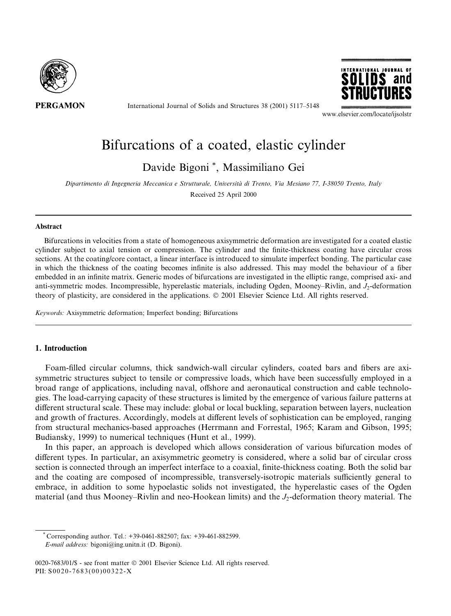

International Journal of Solids and Structures 38 (2001) 5117-5148



www.elsevier.com/locate/ijsolstr

# Bifurcations of a coated, elastic cylinder

Davide Bigoni \*, Massimiliano Gei

Dipartimento di Ingegneria Meccanica e Strutturale, Università di Trento, Via Mesiano 77, I-38050 Trento, Italy Received 25 April 2000

#### **Abstract**

Bifurcations in velocities from a state of homogeneous axisymmetric deformation are investigated for a coated elastic cylinder subject to axial tension or compression. The cylinder and the finite-thickness coating have circular cross sections. At the coating/core contact, a linear interface is introduced to simulate imperfect bonding. The particular case in which the thickness of the coating becomes infinite is also addressed. This may model the behaviour of a fiber embedded in an infinite matrix. Generic modes of bifurcations are investigated in the elliptic range, comprised axi- and anti-symmetric modes. Incompressible, hyperelastic materials, including Ogden, Mooney-Rivlin, and  $J_2$ -deformation theory of plasticity, are considered in the applications. © 2001 Elsevier Science Ltd. All rights reserved.

Keywords: Axisymmetric deformation; Imperfect bonding; Bifurcations

# 1. Introduction

Foam-filled circular columns, thick sandwich-wall circular cylinders, coated bars and fibers are axisymmetric structures subject to tensile or compressive loads, which have been successfully employed in a broad range of applications, including naval, offshore and aeronautical construction and cable technologies. The load-carrying capacity of these structures is limited by the emergence of various failure patterns at different structural scale. These may include: global or local buckling, separation between layers, nucleation and growth of fractures. Accordingly, models at different levels of sophistication can be employed, ranging from structural mechanics-based approaches (Herrmann and Forrestal, 1965; Karam and Gibson, 1995; Budiansky, 1999) to numerical techniques (Hunt et al., 1999).

In this paper, an approach is developed which allows consideration of various bifurcation modes of different types. In particular, an axisymmetric geometry is considered, where a solid bar of circular cross section is connected through an imperfect interface to a coaxial, finite-thickness coating. Both the solid bar and the coating are composed of incompressible, transversely-isotropic materials sufficiently general to embrace, in addition to some hypoelastic solids not investigated, the hyperelastic cases of the Ogden material (and thus Mooney–Rivlin and neo-Hookean limits) and the  $J_2$ -deformation theory material. The

Corresponding author. Tel.: +39-0461-882507; fax: +39-461-882599.

E-mail address: bigoni@ing.unitn.it (D. Bigoni).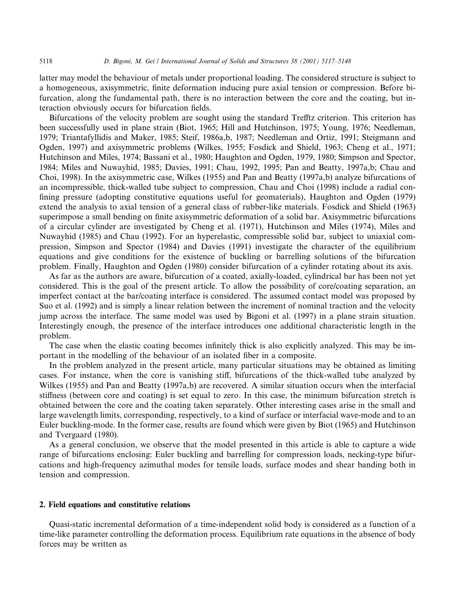latter may model the behaviour of metals under proportional loading. The considered structure is subject to a homogeneous, axisymmetric, finite deformation inducing pure axial tension or compression. Before bifurcation, along the fundamental path, there is no interaction between the core and the coating, but interaction obviously occurs for bifurcation fields.

Bifurcations of the velocity problem are sought using the standard Trefftz criterion. This criterion has been successfully used in plane strain (Biot, 1965; Hill and Hutchinson, 1975; Young, 1976; Needleman, 1979; Triantafyllidis and Maker, 1985; Steif, 1986a,b, 1987; Needleman and Ortiz, 1991; Steigmann and Ogden, 1997) and axisymmetric problems (Wilkes, 1955; Fosdick and Shield, 1963; Cheng et al., 1971; Hutchinson and Miles, 1974; Bassani et al., 1980; Haughton and Ogden, 1979, 1980; Simpson and Spector, 1984; Miles and Nuwayhid, 1985; Davies, 1991; Chau, 1992, 1995; Pan and Beatty, 1997a,b; Chau and Choi, 1998). In the axisymmetric case, Wilkes (1955) and Pan and Beatty (1997a,b) analyze bifurcations of an incompressible, thick-walled tube subject to compression, Chau and Choi (1998) include a radial confining pressure (adopting constitutive equations useful for geomaterials), Haughton and Ogden (1979) extend the analysis to axial tension of a general class of rubber-like materials. Fosdick and Shield (1963) superimpose a small bending on finite axisymmetric deformation of a solid bar. Axisymmetric bifurcations of a circular cylinder are investigated by Cheng et al. (1971), Hutchinson and Miles (1974), Miles and Nuwayhid (1985) and Chau (1992). For an hyperelastic, compressible solid bar, subject to uniaxial compression, Simpson and Spector (1984) and Davies (1991) investigate the character of the equilibrium equations and give conditions for the existence of buckling or barrelling solutions of the bifurcation problem. Finally, Haughton and Ogden (1980) consider bifurcation of a cylinder rotating about its axis.

As far as the authors are aware, bifurcation of a coated, axially-loaded, cylindrical bar has been not yet considered. This is the goal of the present article. To allow the possibility of core/coating separation, an imperfect contact at the bar/coating interface is considered. The assumed contact model was proposed by Suo et al. (1992) and is simply a linear relation between the increment of nominal traction and the velocity jump across the interface. The same model was used by Bigoni et al. (1997) in a plane strain situation. Interestingly enough, the presence of the interface introduces one additional characteristic length in the problem.

The case when the elastic coating becomes infinitely thick is also explicitly analyzed. This may be important in the modelling of the behaviour of an isolated fiber in a composite.

In the problem analyzed in the present article, many particular situations may be obtained as limiting cases. For instance, when the core is vanishing stiff, bifurcations of the thick-walled tube analyzed by Wilkes (1955) and Pan and Beatty (1997a,b) are recovered. A similar situation occurs when the interfacial stiffness (between core and coating) is set equal to zero. In this case, the minimum bifurcation stretch is obtained between the core and the coating taken separately. Other interesting cases arise in the small and large wavelength limits, corresponding, respectively, to a kind of surface or interfacial wave-mode and to an Euler buckling-mode. In the former case, results are found which were given by Biot (1965) and Hutchinson and Tvergaard (1980).

As a general conclusion, we observe that the model presented in this article is able to capture a wide range of bifurcations enclosing: Euler buckling and barrelling for compression loads, necking-type bifurcations and high-frequency azimuthal modes for tensile loads, surface modes and shear banding both in tension and compression.

## 2. Field equations and constitutive relations

Quasi-static incremental deformation of a time-independent solid body is considered as a function of a time-like parameter controlling the deformation process. Equilibrium rate equations in the absence of body forces may be written as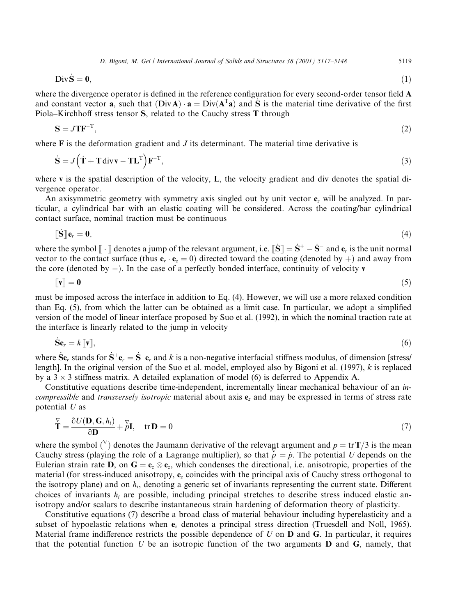5119

$$
\mathbf{Div}\dot{\mathbf{S}} = \mathbf{0},\tag{1}
$$

where the divergence operator is defined in the reference configuration for every second-order tensor field A and constant vector **a**, such that  $(DivA) \cdot a = Div(A^{T}a)$  and S is the material time derivative of the first Piola-Kirchhoff stress tensor S, related to the Cauchy stress T through

$$
S = JTF^{-T},\tag{2}
$$

where  $\bf{F}$  is the deformation gradient and  $\bf{J}$  its determinant. The material time derivative is

$$
\dot{\mathbf{S}} = J(\dot{\mathbf{T}} + \mathbf{T} \operatorname{div} \mathbf{v} - \mathbf{T} \mathbf{L}^{\mathrm{T}}) \mathbf{F}^{-\mathrm{T}},
$$
\n(3)

where  $\bf{v}$  is the spatial description of the velocity, **L**, the velocity gradient and div denotes the spatial divergence operator.

An axisymmetric geometry with symmetry axis singled out by unit vector  $e<sub>z</sub>$  will be analyzed. In particular, a cylindrical bar with an elastic coating will be considered. Across the coating/bar cylindrical contact surface, nominal traction must be continuous

$$
\mathbf{\lbrack \hat{S} \rbrack}\mathbf{e}_r = \mathbf{0},\tag{4}
$$

where the symbol  $\|\cdot\|$  denotes a jump of the relevant argument, i.e.  $\|\dot{\mathbf{S}}\| = \dot{\mathbf{S}}^+ - \dot{\mathbf{S}}^-$  and  $\mathbf{e}_r$  is the unit normal vector to the contact surface (thus  $\mathbf{e}_r \cdot \mathbf{e}_z = 0$ ) directed toward the coating (denoted by +) and away from the core (denoted by  $-$ ). In the case of a perfectly bonded interface, continuity of velocity v

$$
\llbracket \mathbf{v} \rrbracket = \mathbf{0} \tag{5}
$$

must be imposed across the interface in addition to Eq. (4). However, we will use a more relaxed condition than Eq. (5), from which the latter can be obtained as a limit case. In particular, we adopt a simplified version of the model of linear interface proposed by Suo et al. (1992), in which the nominal traction rate at the interface is linearly related to the jump in velocity

$$
\mathbf{\dot{S}}\mathbf{e}_r = k[\![\mathbf{v}]\!],\tag{6}
$$

where  $\dot{\mathbf{S}}\mathbf{e}_r$  stands for  $\dot{\mathbf{S}}^+\mathbf{e}_r = \dot{\mathbf{S}}^-\mathbf{e}_r$  and k is a non-negative interfacial stiffness modulus, of dimension [stress] length]. In the original version of the Suo et al. model, employed also by Bigoni et al.  $(1997)$ , k is replaced by a  $3 \times 3$  stiffness matrix. A detailed explanation of model (6) is deferred to Appendix A.

Constitutive equations describe time-independent, incrementally linear mechanical behaviour of an incompressible and transversely isotropic material about axis e, and may be expressed in terms of stress rate potential  $U$  as

$$
\overline{\mathbf{T}} = \frac{\partial U(\mathbf{D}, \mathbf{G}, h_i)}{\partial \mathbf{D}} + \overline{p}\mathbf{I}, \quad \text{tr}\,\mathbf{D} = 0 \tag{7}
$$

where the symbol  $(\nabla)$  denotes the Jaumann derivative of the relevant argument and  $p = \text{tr } T/3$  is the mean Cauchy stress (playing the role of a Lagrange multiplier), so that  $\check{p} = \dot{p}$ . The potential U depends on the Eulerian strain rate **D**, on  $G = e_{\gamma} \otimes e_{\gamma}$ , which condenses the directional, i.e. anisotropic, properties of the material (for stress-induced anisotropy,  $e_z$  coincides with the principal axis of Cauchy stress orthogonal to the isotropy plane) and on  $h_i$ , denoting a generic set of invariants representing the current state. Different choices of invariants  $h_i$  are possible, including principal stretches to describe stress induced elastic anisotropy and/or scalars to describe instantaneous strain hardening of deformation theory of plasticity.

Constitutive equations (7) describe a broad class of material behaviour including hyperelasticity and a subset of hypoelastic relations when e<sub>z</sub> denotes a principal stress direction (Truesdell and Noll, 1965). Material frame indifference restricts the possible dependence of  $U$  on  $D$  and  $G$ . In particular, it requires that the potential function U be an isotropic function of the two arguments  $\bf{D}$  and  $\bf{G}$ , namely, that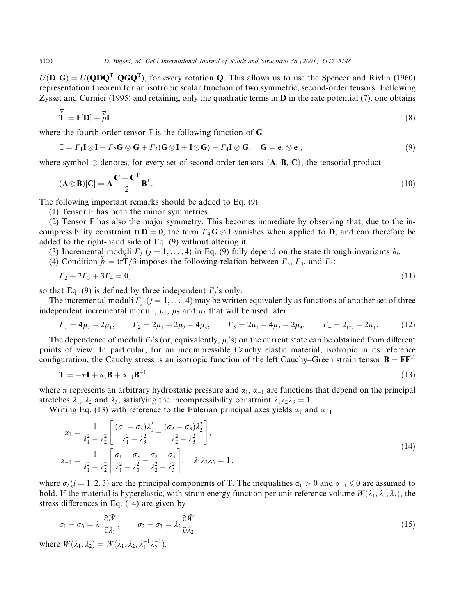$U(\mathbf{D}, \mathbf{G}) = U(\mathbf{Q}\mathbf{D}\mathbf{Q}^T, \mathbf{Q}\mathbf{G}\mathbf{Q}^T)$ , for every rotation **Q**. This allows us to use the Spencer and Rivlin (1960) representation theorem for an isotropic scalar function of two symmetric, second-order tensors. Following Zysset and Curnier (1995) and retaining only the quadratic terms in  $D$  in the rate potential (7), one obtains

$$
\mathbf{T} = \mathbb{E}[\mathbf{D}] + \mathbf{L}^{\nabla} \mathbf{I},\tag{8}
$$

where the fourth-order tensor  $E$  is the following function of G

$$
\mathbb{E} = \Gamma_1 \mathbf{I} \overline{\otimes} \mathbf{I} + \Gamma_2 \mathbf{G} \otimes \mathbf{G} + \Gamma_3 (\mathbf{G} \overline{\otimes} \mathbf{I} + \mathbf{I} \overline{\otimes} \mathbf{G}) + \Gamma_4 \mathbf{I} \otimes \mathbf{G}, \quad \mathbf{G} = \mathbf{e}_z \otimes \mathbf{e}_z,
$$
\n(9)

where symbol  $\overline{\otimes}$  denotes, for every set of second-order tensors {A, B, C}, the tensorial product

$$
(\mathbf{A}\overline{\otimes}\mathbf{B})[\mathbf{C}] = \mathbf{A}\frac{\mathbf{C} + \mathbf{C}^{\mathrm{T}}}{2}\mathbf{B}^{\mathrm{T}}.\tag{10}
$$

The following important remarks should be added to Eq. (9):

(1) Tensor  $E$  has both the minor symmetries.

(2) Tensor  $E$  has also the major symmetry. This becomes immediate by observing that, due to the incompressibility constraint tr $D = 0$ , the term  $\Gamma_4 G \otimes I$  vanishes when applied to D, and can therefore be added to the right-hand side of Eq. (9) without altering it.

(3) Incremental moduli  $\Gamma_i$  ( $j = 1, ..., 4$ ) in Eq. (9) fully depend on the state through invariants  $h_i$ .

(4) Condition  $\dot{p} = \text{tr} \dot{T}/3$  imposes the following relation between  $\Gamma_2$ ,  $\Gamma_3$ , and  $\Gamma_4$ :

$$
\Gamma_2 + 2\Gamma_3 + 3\Gamma_4 = 0,\tag{11}
$$

so that Eq. (9) is defined by three independent  $\Gamma_i$ 's only.

The incremental moduli  $\Gamma_i$  ( $j = 1, ..., 4$ ) may be written equivalently as functions of another set of three independent incremental moduli,  $\mu_1$ ,  $\mu_2$  and  $\mu_3$  that will be used later

$$
\Gamma_1 = 4\mu_2 - 2\mu_1, \qquad \Gamma_2 = 2\mu_1 + 2\mu_2 - 4\mu_3, \qquad \Gamma_3 = 2\mu_1 - 4\mu_2 + 2\mu_3, \qquad \Gamma_4 = 2\mu_2 - 2\mu_1. \tag{12}
$$

The dependence of moduli  $\Gamma_i$ 's (or, equivalently,  $\mu_i$ 's) on the current state can be obtained from different points of view. In particular, for an incompressible Cauchy elastic material, isotropic in its reference configuration, the Cauchy stress is an isotropic function of the left Cauchy–Green strain tensor  $\mathbf{B} = \mathbf{F}\mathbf{F}^T$ 

$$
\mathbf{T} = -\pi \mathbf{I} + \alpha_1 \mathbf{B} + \alpha_{-1} \mathbf{B}^{-1},\tag{13}
$$

where  $\pi$  represents an arbitrary hydrostatic pressure and  $\alpha_1$ ,  $\alpha_{-1}$  are functions that depend on the principal stretches  $\lambda_1$ ,  $\lambda_2$  and  $\lambda_3$ , satisfying the incompressibility constraint  $\lambda_1 \lambda_2 \lambda_3 = 1$ .

Writing Eq. (13) with reference to the Eulerian principal axes yields  $\alpha_1$  and  $\alpha_{-1}$ 

$$
\alpha_1 = \frac{1}{\lambda_1^2 - \lambda_2^2} \left[ \frac{(\sigma_1 - \sigma_3)\lambda_1^2}{\lambda_1^2 - \lambda_3^2} - \frac{(\sigma_2 - \sigma_3)\lambda_2^2}{\lambda_2^2 - \lambda_3^2} \right],
$$
\n
$$
\alpha_{-1} = \frac{1}{\lambda_1^2 - \lambda_2^2} \left[ \frac{\sigma_1 - \sigma_3}{\lambda_1^2 - \lambda_3^2} - \frac{\sigma_2 - \sigma_3}{\lambda_2^2 - \lambda_3^2} \right], \quad \lambda_1 \lambda_2 \lambda_3 = 1,
$$
\n(14)

where  $\sigma_i$  (i = 1, 2, 3) are the principal components of **T**. The inequalities  $\alpha_1 > 0$  and  $\alpha_{-1} \le 0$  are assumed to hold. If the material is hyperelastic, with strain energy function per unit reference volume  $W(\lambda_1, \lambda_2, \lambda_3)$ , the stress differences in Eq.  $(14)$  are given by

$$
\sigma_1 - \sigma_3 = \lambda_1 \frac{\partial \tilde{W}}{\partial \lambda_1}, \qquad \sigma_2 - \sigma_3 = \lambda_2 \frac{\partial \tilde{W}}{\partial \lambda_2}, \qquad (15)
$$

where  $\tilde{W}(\lambda_1, \lambda_2) = W(\lambda_1, \lambda_2, \lambda_1^{-1} \lambda_2^{-1}).$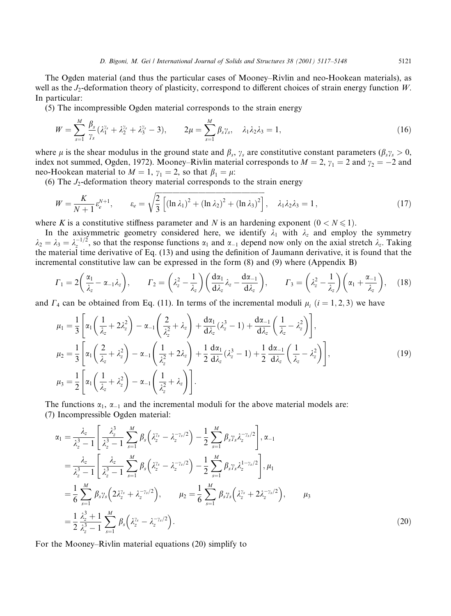5121

The Ogden material (and thus the particular cases of Mooney–Rivlin and neo-Hookean materials), as well as the  $J_2$ -deformation theory of plasticity, correspond to different choices of strain energy function W. In particular:

(5) The incompressible Ogden material corresponds to the strain energy

$$
W = \sum_{s=1}^{M} \frac{\beta_s}{\gamma_s} (\lambda_1^{\gamma_s} + \lambda_2^{\gamma_s} + \lambda_3^{\gamma_s} - 3), \qquad 2\mu = \sum_{s=1}^{M} \beta_s \gamma_s, \quad \lambda_1 \lambda_2 \lambda_3 = 1,
$$
 (16)

where  $\mu$  is the shear modulus in the ground state and  $\beta_s$ ,  $\gamma_s$  are constitutive constant parameters  $(\beta_s \gamma_s > 0$ , index not summed, Ogden, 1972). Mooney–Rivlin material corresponds to  $M = 2$ ,  $\gamma_1 = 2$  and  $\gamma_2 = -2$  and neo-Hookean material to  $M = 1$ ,  $\gamma_1 = 2$ , so that  $\beta_1 = \mu$ .

(6) The  $J_2$ -deformation theory material corresponds to the strain energy

$$
W = \frac{K}{N+1} \varepsilon_e^{N+1}, \qquad \varepsilon_e = \sqrt{\frac{2}{3} \left[ (\ln \lambda_1)^2 + (\ln \lambda_2)^2 + (\ln \lambda_3)^2 \right]}, \quad \lambda_1 \lambda_2 \lambda_3 = 1, \tag{17}
$$

where K is a constitutive stiffness parameter and N is an hardening exponent  $(0 < N \le 1)$ .

In the axisymmetric geometry considered here, we identify  $\lambda_1$  with  $\lambda_2$  and employ the symmetry  $\lambda_2 = \lambda_3 = \lambda_2^{-1/2}$ , so that the response functions  $\alpha_1$  and  $\alpha_{-1}$  depend now only on the axial stretch  $\lambda_z$ . Taking the material time derivative of Eq. (13) and using the definition of Jaumann derivative, it is f incremental constitutive law can be expressed in the form  $(8)$  and  $(9)$  where (Appendix B)

$$
\Gamma_1 = 2\left(\frac{\alpha_1}{\lambda_z} - \alpha_{-1}\lambda_z\right), \qquad \Gamma_2 = \left(\lambda_z^2 - \frac{1}{\lambda_z}\right)\left(\frac{d\alpha_1}{d\lambda_z}\lambda_z - \frac{d\alpha_{-1}}{d\lambda_z}\right), \qquad \Gamma_3 = \left(\lambda_z^2 - \frac{1}{\lambda_z}\right)\left(\alpha_1 + \frac{\alpha_{-1}}{\lambda_z}\right), \tag{18}
$$

and  $\Gamma_4$  can be obtained from Eq. (11). In terms of the incremental moduli  $\mu_i$  ( $i = 1, 2, 3$ ) we have

$$
\mu_1 = \frac{1}{3} \left[ \alpha_1 \left( \frac{1}{\lambda_z} + 2\lambda_z^2 \right) - \alpha_{-1} \left( \frac{2}{\lambda_z^2} + \lambda_z \right) + \frac{d\alpha_1}{d\lambda_z} (\lambda_z^3 - 1) + \frac{d\alpha_{-1}}{d\lambda_z} \left( \frac{1}{\lambda_z} - \lambda_z^2 \right) \right],
$$
  
\n
$$
\mu_2 = \frac{1}{3} \left[ \alpha_1 \left( \frac{2}{\lambda_z} + \lambda_z^2 \right) - \alpha_{-1} \left( \frac{1}{\lambda_z^2} + 2\lambda_z \right) + \frac{1}{2} \frac{d\alpha_1}{d\lambda_z} (\lambda_z^3 - 1) + \frac{1}{2} \frac{d\alpha_{-1}}{d\lambda_z} \left( \frac{1}{\lambda_z} - \lambda_z^2 \right) \right],
$$
  
\n
$$
\mu_3 = \frac{1}{2} \left[ \alpha_1 \left( \frac{1}{\lambda_z} + \lambda_z^2 \right) - \alpha_{-1} \left( \frac{1}{\lambda_z^2} + \lambda_z \right) \right].
$$
\n(19)

The functions  $\alpha_1$ ,  $\alpha_{-1}$  and the incremental moduli for the above material models are: (7) Incompressible Ogden material:

$$
\alpha_{1} = \frac{\lambda_{z}}{\lambda_{z}^{3} - 1} \left[ \frac{\lambda_{z}^{3}}{\lambda_{z}^{3} - 1} \sum_{s=1}^{M} \beta_{s} \left( \lambda_{z}^{\gamma_{s}} - \lambda_{z}^{-\gamma_{s}/2} \right) - \frac{1}{2} \sum_{s=1}^{M} \beta_{s} \gamma_{s} \lambda_{z}^{-\gamma_{s}/2} \right], \alpha_{-1}
$$
\n
$$
= \frac{\lambda_{z}}{\lambda_{z}^{3} - 1} \left[ \frac{\lambda_{z}}{\lambda_{z}^{3} - 1} \sum_{s=1}^{M} \beta_{s} \left( \lambda_{z}^{\gamma_{s}} - \lambda_{z}^{-\gamma_{s}/2} \right) - \frac{1}{2} \sum_{s=1}^{M} \beta_{s} \gamma_{s} \lambda_{z}^{1 - \gamma_{s}/2} \right], \mu_{1}
$$
\n
$$
= \frac{1}{6} \sum_{s=1}^{M} \beta_{s} \gamma_{s} \left( 2 \lambda_{z}^{\gamma_{s}} + \lambda_{z}^{-\gamma_{s}/2} \right), \qquad \mu_{2} = \frac{1}{6} \sum_{s=1}^{M} \beta_{s} \gamma_{s} \left( \lambda_{z}^{\gamma_{s}} + 2 \lambda_{z}^{-\gamma_{s}/2} \right), \qquad \mu_{3}
$$
\n
$$
= \frac{1}{2} \frac{\lambda_{z}^{3} + 1}{\lambda_{z}^{3} - 1} \sum_{s=1}^{M} \beta_{s} \left( \lambda_{z}^{\gamma_{s}} - \lambda_{z}^{-\gamma_{s}/2} \right).
$$
\n(20)

For the Mooney–Rivlin material equations (20) simplify to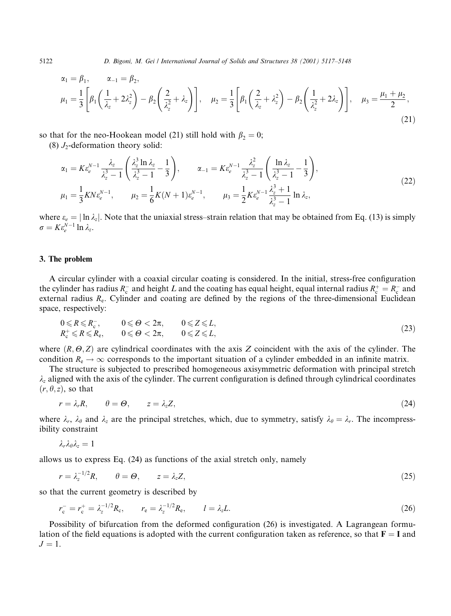$$
\alpha_1 = \beta_1, \qquad \alpha_{-1} = \beta_2,
$$
\n
$$
\mu_1 = \frac{1}{3} \left[ \beta_1 \left( \frac{1}{\lambda_z} + 2\lambda_z^2 \right) - \beta_2 \left( \frac{2}{\lambda_z^2} + \lambda_z \right) \right], \quad \mu_2 = \frac{1}{3} \left[ \beta_1 \left( \frac{2}{\lambda_z} + \lambda_z^2 \right) - \beta_2 \left( \frac{1}{\lambda_z^2} + 2\lambda_z \right) \right], \quad \mu_3 = \frac{\mu_1 + \mu_2}{2},
$$
\n(21)

so that for the neo-Hookean model (21) still hold with  $\beta_2 = 0$ ;  $(8)$  L-deformation theory solide

$$
(8) J2-deformation theory sona:
$$

$$
\alpha_1 = K \varepsilon_e^{N-1} \frac{\lambda_z}{\lambda_z^3 - 1} \left( \frac{\lambda_z^3 \ln \lambda_z}{\lambda_z^3 - 1} - \frac{1}{3} \right), \qquad \alpha_{-1} = K \varepsilon_e^{N-1} \frac{\lambda_z^2}{\lambda_z^3 - 1} \left( \frac{\ln \lambda_z}{\lambda_z^3 - 1} - \frac{1}{3} \right),
$$
  
\n
$$
\mu_1 = \frac{1}{3} K N \varepsilon_e^{N-1}, \qquad \mu_2 = \frac{1}{6} K (N+1) \varepsilon_e^{N-1}, \qquad \mu_3 = \frac{1}{2} K \varepsilon_e^{N-1} \frac{\lambda_z^3 + 1}{\lambda_z^3 - 1} \ln \lambda_z,
$$
\n(22)

where  $\varepsilon_e = |\ln \lambda_z|$ . Note that the uniaxial stress-strain relation that may be obtained from Eq. (13) is simply  $\sigma = K \varepsilon_{\scriptscriptstyle{\rho}}^{N-1} \ln \lambda_z.$ 

# 3. The problem

A circular cylinder with a coaxial circular coating is considered. In the initial, stress-free configuration the cylinder has radius  $R_c^-$  and height L and the coating has equal height, equal internal radius  $R_c^+ = R_c^-$  and external radius  $R_e$ . Cylinder and coating are defined by the regions of the three-dimensional Euclidean space, respectively:

$$
0 \le R \le R_{\rm c}^-, \qquad 0 \le \Theta < 2\pi, \qquad 0 \le Z \le L, R_{\rm c}^+ \le R \le R_{\rm e}, \qquad 0 \le \Theta < 2\pi, \qquad 0 \le Z \le L,
$$
\n
$$
(23)
$$

where  $(R, \Theta, Z)$  are cylindrical coordinates with the axis Z coincident with the axis of the cylinder. The condition  $R_e \rightarrow \infty$  corresponds to the important situation of a cylinder embedded in an infinite matrix.

The structure is subjected to prescribed homogeneous axisymmetric deformation with principal stretch  $\lambda_z$  aligned with the axis of the cylinder. The current configuration is defined through cylindrical coordinates  $(r, \theta, z)$ , so that

$$
r = \lambda_r R, \qquad \theta = \Theta, \qquad z = \lambda_z Z,\tag{24}
$$

where  $\lambda_r$ ,  $\lambda_\theta$  and  $\lambda_z$  are the principal stretches, which, due to symmetry, satisfy  $\lambda_\theta = \lambda_r$ . The incompressibility constraint

$$
\lambda_r\lambda_\theta\lambda_z=1
$$

allows us to express Eq. (24) as functions of the axial stretch only, namely

$$
r = \lambda_z^{-1/2} R, \qquad \theta = \Theta, \qquad z = \lambda_z Z,\tag{25}
$$

so that the current geometry is described by

$$
r_{\rm c}^- = r_{\rm c}^+ = \lambda_z^{-1/2} R_{\rm c}, \qquad r_{\rm e} = \lambda_z^{-1/2} R_{\rm e}, \qquad l = \lambda_z L. \tag{26}
$$

Possibility of bifurcation from the deformed configuration (26) is investigated. A Lagrangean formulation of the field equations is adopted with the current configuration taken as reference, so that  $F = I$  and  $J=1$ .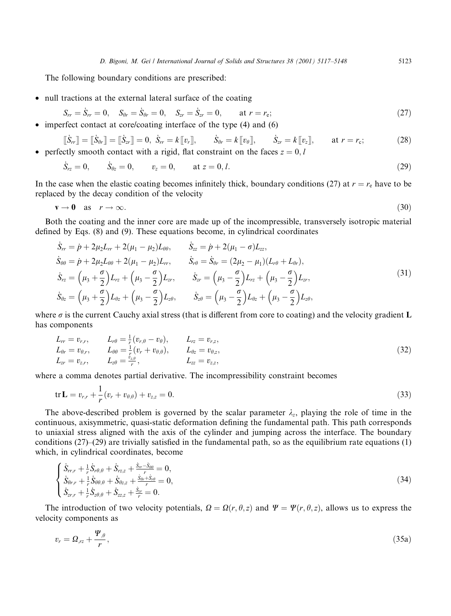The following boundary conditions are prescribed:

• null tractions at the external lateral surface of the coating

$$
S_{rr} = \dot{S}_{rr} = 0, \quad S_{\theta r} = \dot{S}_{\theta r} = 0, \quad S_{zr} = \dot{S}_{zr} = 0, \quad \text{at } r = r_{\rm e};
$$
\n(27)

imperfect contact at core/coating interface of the type (4) and (6)

$$
\begin{aligned}\n\left[\dot{S}_{rr}\right] &= \left[\dot{S}_{\theta r}\right] = \left[\dot{S}_{zr}\right] = 0, \ \dot{S}_{rr} = k\left[\left[v_r\right]\right], \qquad \dot{S}_{\theta r} = k\left[\left[v_{\theta}\right]\right], \qquad \dot{S}_{zr} = k\left[\left[v_z\right]\right], \qquad \text{at } r = r_c;\n\end{aligned} \tag{28}
$$

• perfectly smooth contact with a rigid, flat constraint on the faces  $z = 0, l$ 

$$
\dot{S}_{rz} = 0,
$$
  $\dot{S}_{\theta z} = 0,$   $v_z = 0,$  at  $z = 0, l.$  (29)

In the case when the elastic coating becomes infinitely thick, boundary conditions (27) at  $r = r<sub>e</sub>$  have to be replaced by the decay condition of the velocity

$$
\mathbf{v} \to \mathbf{0} \quad \text{as} \quad r \to \infty. \tag{30}
$$

Both the coating and the inner core are made up of the incompressible, transversely isotropic material defined by Eqs. (8) and (9). These equations become, in cylindrical coordinates

$$
\dot{S}_{rr} = \dot{p} + 2\mu_{2}L_{rr} + 2(\mu_{1} - \mu_{2})L_{\theta\theta}, \qquad \dot{S}_{zz} = \dot{p} + 2(\mu_{1} - \sigma)L_{zz}, \n\dot{S}_{\theta\theta} = \dot{p} + 2\mu_{2}L_{\theta\theta} + 2(\mu_{1} - \mu_{2})L_{rr}, \qquad \dot{S}_{r\theta} = \dot{S}_{\theta r} = (2\mu_{2} - \mu_{1})(L_{r\theta} + L_{\theta r}), \n\dot{S}_{rz} = (\mu_{3} + \frac{\sigma}{2})L_{rz} + (\mu_{3} - \frac{\sigma}{2})L_{zr}, \qquad \dot{S}_{zr} = (\mu_{3} - \frac{\sigma}{2})L_{rz} + (\mu_{3} - \frac{\sigma}{2})L_{zr}, \n\dot{S}_{\theta z} = (\mu_{3} + \frac{\sigma}{2})L_{\theta z} + (\mu_{3} - \frac{\sigma}{2})L_{z\theta}, \qquad \dot{S}_{z\theta} = (\mu_{3} - \frac{\sigma}{2})L_{\theta z} + (\mu_{3} - \frac{\sigma}{2})L_{z\theta},
$$
\n(31)

where  $\sigma$  is the current Cauchy axial stress (that is different from core to coating) and the velocity gradient L has components

$$
L_{rr} = v_{r,r}, \t L_{r\theta} = \frac{1}{r}(v_{r,\theta} - v_{\theta}), \t L_{rz} = v_{r,z}, L_{\theta r} = v_{\theta,r}, \t L_{\theta \theta} = \frac{1}{r}(v_r + v_{\theta,\theta}), \t L_{\theta z} = v_{\theta,z}, L_{zr} = v_{z,r}, \t L_{z\theta} = \frac{v_{z,\theta}}{r}, \t L_{zz} = v_{z,z},
$$
\t(32)

where a comma denotes partial derivative. The incompressibility constraint becomes

$$
\text{tr}\,\mathbf{L}=v_{r,r}+\frac{1}{r}(v_r+v_{\theta,\theta})+v_{z,z}=0.\tag{33}
$$

The above-described problem is governed by the scalar parameter  $\lambda_z$ , playing the role of time in the continuous, axisymmetric, quasi-static deformation defining the fundamental path. This path corresponds to uniaxial stress aligned with the axis of the cylinder and jumping across the interface. The boundary conditions  $(27)$ – $(29)$  are trivially satisfied in the fundamental path, so as the equilibrium rate equations  $(1)$ which, in cylindrical coordinates, become

$$
\begin{cases}\n\dot{S}_{rr,r} + \frac{1}{r} \dot{S}_{r\theta,\theta} + \dot{S}_{rz,z} + \frac{S_{rr} - S_{\theta\theta}}{r} = 0, \\
\dot{S}_{\theta r,r} + \frac{1}{r} \dot{S}_{\theta\theta,\theta} + \dot{S}_{\theta z,z} + \frac{\dot{S}_{\theta r} + \dot{S}_{r\theta}}{r} = 0, \\
\dot{S}_{zr,r} + \frac{1}{r} \dot{S}_{z\theta,\theta} + \dot{S}_{zz,z} + \frac{\dot{S}_{zr}}{r} = 0.\n\end{cases}
$$
\n(34)

The introduction of two velocity potentials,  $\Omega = \Omega(r, \theta, z)$  and  $\Psi = \Psi(r, \theta, z)$ , allows us to express the velocity components as

$$
v_r = \Omega_{,rz} + \frac{\Psi_{,\theta}}{r},\tag{35a}
$$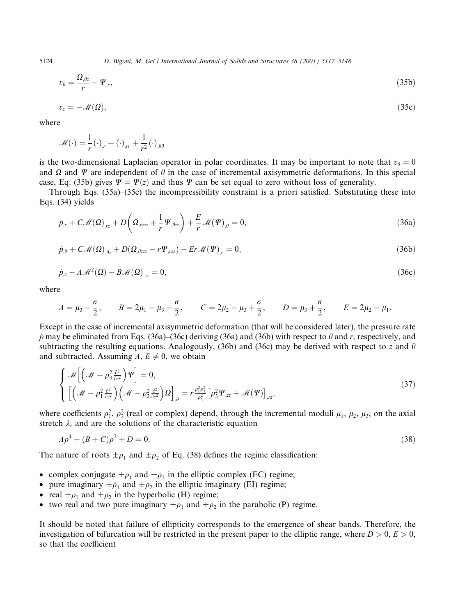$$
v_{\theta} = \frac{\Omega_{,\theta z}}{r} - \Psi_{,r},\tag{35b}
$$

$$
v_z = -\mathcal{M}(\Omega),\tag{35c}
$$

where

$$
\mathscr{M}(\cdot) = \frac{1}{r}(\cdot)_{,r} + (\cdot)_{,rr} + \frac{1}{r^2}(\cdot)_{,\theta\theta}
$$

is the two-dimensional Laplacian operator in polar coordinates. It may be important to note that  $v_{\theta} = 0$ and  $\Omega$  and  $\Psi$  are independent of  $\theta$  in the case of incremental axisymmetric deformations. In this special case, Eq. (35b) gives  $\Psi = \Psi(z)$  and thus  $\Psi$  can be set equal to zero without loss of generality.

Through Eqs. (35a)–(35c) the incompressibility constraint is a priori satisfied. Substituting these into Eqs. (34) yields

$$
\dot{p}_{,r} + C\mathcal{M}(\Omega)_{,rz} + D\left(\Omega_{,rzzz} + \frac{1}{r}\Psi_{,\theta z} + \frac{E}{r}\mathcal{M}(\Psi)_{,\theta} = 0,\right)
$$
\n(36a)

$$
\dot{p}_{,\theta} + C\mathcal{M}(\Omega)_{,\theta z} + D(\Omega_{,\theta z z z} - r\Psi_{,r z z}) - Er\mathcal{M}(\Psi)_{,r} = 0,
$$
\n(36b)

$$
\dot{p}_z - A \mathcal{M}^2(\Omega) - B \mathcal{M}(\Omega)_{zz} = 0,\tag{36c}
$$

where

$$
A = \mu_3 - \frac{\sigma}{2}, \qquad B = 2\mu_1 - \mu_3 - \frac{\sigma}{2}, \qquad C = 2\mu_2 - \mu_3 + \frac{\sigma}{2}, \qquad D = \mu_3 + \frac{\sigma}{2}, \qquad E = 2\mu_2 - \mu_1.
$$

Except in the case of incremental axisymmetric deformation (that will be considered later), the pressure rate p may be eliminated from Eqs. (36a)–(36c) deriving (36a) and (36b) with respect to  $\theta$  and r, respectively, and subtracting the resulting equations. Analogously, (36b) and (36c) may be derived with respect to z and  $\theta$ and subtracted. Assuming A,  $E \neq 0$ , we obtain

$$
\begin{cases}\n\mathcal{M}\left[\left(\mathcal{M}+\rho_3^2\frac{\partial^2}{\partial z^2}\right)\Psi\right]=0, \\
\left[\left(\mathcal{M}-\rho_1^2\frac{\partial^2}{\partial z^2}\right)\left(\mathcal{M}-\rho_2^2\frac{\partial^2}{\partial z^2}\right)\Omega\right]_{,\theta} = r\frac{\rho_1^2\rho_2^2}{\rho_3^2}\left[\rho_3^2\Psi_{,zz}+\mathcal{M}(\Psi)\right]_{,rz},\n\end{cases} (37)
$$

where coefficients  $\rho_1^2$ ,  $\rho_2^2$  (real or complex) depend, through the incremental moduli  $\mu_1$ ,  $\mu_2$ ,  $\mu_3$ , on the axial stretch  $\lambda_z$  and are the solutions of the characteristic equation

$$
A\rho^4 + (B+C)\rho^2 + D = 0.\tag{38}
$$

The nature of roots  $\pm \rho_1$  and  $\pm \rho_2$  of Eq. (38) defines the regime classification:

- complex conjugate  $\pm \rho_1$  and  $\pm \rho_2$  in the elliptic complex (EC) regime;
- pure imaginary  $\pm \rho_1$  and  $\pm \rho_2$  in the elliptic imaginary (EI) regime;  $\bullet$
- real  $\pm \rho_1$  and  $\pm \rho_2$  in the hyperbolic (H) regime;
- two real and two pure imaginary  $\pm \rho_1$  and  $\pm \rho_2$  in the parabolic (P) regime.  $\bullet$

It should be noted that failure of ellipticity corresponds to the emergence of shear bands. Therefore, the investigation of bifurcation will be restricted in the present paper to the elliptic range, where  $D > 0$ ,  $E > 0$ , so that the coefficient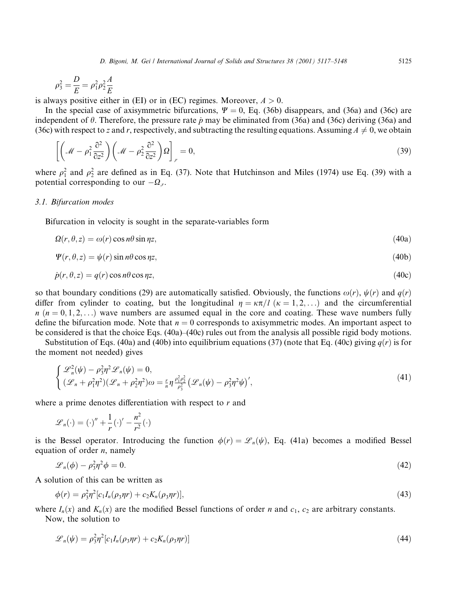$$
\rho_3^2 = \frac{D}{E} = \rho_1^2 \rho_2^2 \frac{A}{E}
$$

is always positive either in (EI) or in (EC) regimes. Moreover,  $A > 0$ .

In the special case of axisymmetric bifurcations,  $\Psi = 0$ , Eq. (36b) disappears, and (36a) and (36c) are independent of  $\theta$ . Therefore, the pressure rate  $\dot{p}$  may be eliminated from (36a) and (36c) deriving (36a) and (36c) with respect to z and r, respectively, and subtracting the resulting equations. Assuming  $A \neq 0$ , we obtain

$$
\left[ \left( \mathcal{M} - \rho_1^2 \frac{\partial^2}{\partial z^2} \right) \left( \mathcal{M} - \rho_2^2 \frac{\partial^2}{\partial z^2} \right) \Omega \right]_{,r} = 0, \tag{39}
$$

where  $\rho_1^2$  and  $\rho_2^2$  are defined as in Eq. (37). Note that Hutchinson and Miles (1974) use Eq. (39) with a potential corresponding to our  $-\Omega_r$ .

#### 3.1. Bifurcation modes

Bifurcation in velocity is sought in the separate-variables form

$$
\Omega(r,\theta,z) = \omega(r)\cos n\theta \sin n\pi,\tag{40a}
$$

$$
\Psi(r,\theta,z) = \psi(r)\sin n\theta\cos n z,\tag{40b}
$$

$$
\dot{p}(r,\theta,z) = q(r)\cos n\theta\cos n z,\tag{40c}
$$

so that boundary conditions (29) are automatically satisfied. Obviously, the functions  $\omega(r)$ ,  $\psi(r)$  and  $q(r)$ differ from cylinder to coating, but the longitudinal  $\eta = \kappa \pi / l$  ( $\kappa = 1, 2, ...$ ) and the circumferential  $n (n = 0, 1, 2, ...)$  wave numbers are assumed equal in the core and coating. These wave numbers fully define the bifurcation mode. Note that  $n = 0$  corresponds to axisymmetric modes. An important aspect to be considered is that the choice Eqs.  $(40a)$ – $(40c)$  rules out from the analysis all possible rigid body motions.

Substitution of Eqs. (40a) and (40b) into equilibrium equations (37) (note that Eq. (40c) giving  $q(r)$  is for the moment not needed) gives

$$
\begin{cases}\n\mathcal{L}_n^2(\psi) - \rho_3^2 \eta^2 \mathcal{L}_n(\psi) = 0, \\
(\mathcal{L}_n + \rho_1^2 \eta^2)(\mathcal{L}_n + \rho_2^2 \eta^2) \omega = \frac{r}{n} \eta \frac{\rho_1^2 \rho_2^2}{\rho_3^2} (\mathcal{L}_n(\psi) - \rho_3^2 \eta^2 \psi)',\n\end{cases}
$$
\n(41)

where a prime denotes differentiation with respect to  $r$  and

$$
\mathscr{L}_n(\cdot) = (\cdot)^n + \frac{1}{r} (\cdot)^{\prime} - \frac{n^2}{r^2} (\cdot)
$$

is the Bessel operator. Introducing the function  $\phi(r) = \mathscr{L}_n(\psi)$ , Eq. (41a) becomes a modified Bessel equation of order  $n$ , namely

$$
\mathcal{L}_n(\phi) - \rho_3^2 \eta^2 \phi = 0. \tag{42}
$$

A solution of this can be written as

$$
\phi(r) = \rho_3^2 \eta^2 [c_1 I_n(\rho_3 \eta r) + c_2 K_n(\rho_3 \eta r)],\tag{43}
$$

where  $I_n(x)$  and  $K_n(x)$  are the modified Bessel functions of order *n* and  $c_1$ ,  $c_2$  are arbitrary constants. Now, the solution to

$$
\mathscr{L}_n(\psi) = \rho_3^2 \eta^2 [c_1 I_n(\rho_3 \eta r) + c_2 K_n(\rho_3 \eta r)]
$$

5125

 $(44)$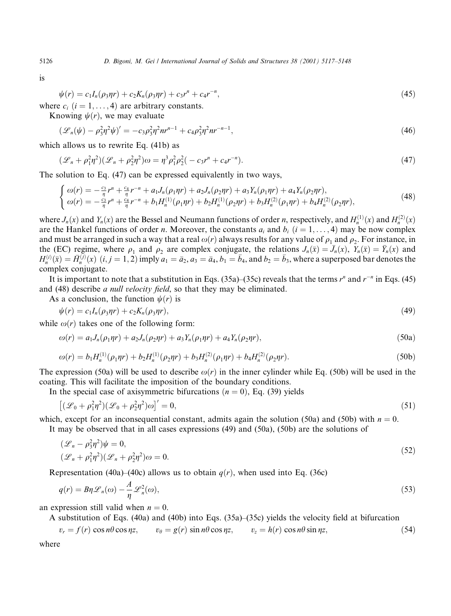is

$$
\psi(r) = c_1 I_n(\rho_3 \eta r) + c_2 K_n(\rho_3 \eta r) + c_3 r^n + c_4 r^{-n},\tag{45}
$$

where  $c_i$  ( $i = 1, ..., 4$ ) are arbitrary constants.

Knowing  $\psi(r)$ , we may evaluate

$$
(\mathcal{L}_n(\psi) - \rho_3^2 \eta^2 \psi)' = -c_3 \rho_3^2 \eta^2 n r^{n-1} + c_4 \rho_3^2 \eta^2 n r^{-n-1},\tag{46}
$$

which allows us to rewrite Eq. (41b) as

$$
(\mathcal{L}_n + \rho_1^2 \eta^2)(\mathcal{L}_n + \rho_2^2 \eta^2)\omega = \eta^3 \rho_1^2 \rho_2^2(-c_3 r^n + c_4 r^{-n}).
$$
\n(47)

The solution to Eq.  $(47)$  can be expressed equivalently in two ways,

$$
\begin{cases}\n\omega(r) = -\frac{c_3}{\eta}r^n + \frac{c_4}{\eta}r^{-n} + a_1J_n(\rho_1\eta r) + a_2J_n(\rho_2\eta r) + a_3Y_n(\rho_1\eta r) + a_4Y_n(\rho_2\eta r), \\
\omega(r) = -\frac{c_3}{\eta}r^n + \frac{c_4}{\eta}r^{-n} + b_1H_n^{(1)}(\rho_1\eta r) + b_2H_n^{(1)}(\rho_2\eta r) + b_3H_n^{(2)}(\rho_1\eta r) + b_4H_n^{(2)}(\rho_2\eta r),\n\end{cases} (48)
$$

where  $J_n(x)$  and  $Y_n(x)$  are the Bessel and Neumann functions of order *n*, respectively, and  $H_n^{(1)}(x)$  and  $H_n^{(2)}(x)$ are the Hankel functions of order *n*. Moreover, the constants  $a_i$  and  $b_i$  ( $i = 1, \ldots, 4$ ) may be now complex and must be arranged in such a way that a real  $\omega(r)$  always results for any value of  $\rho_1$  and  $\rho_2$ . For instance, in the (EC) regime, where  $\rho_1$  and  $\rho_2$  are complex conjugate, the relations  $J_n(\bar{x}) = \bar{J}_n(x)$ ,  $Y_n(\bar{x}) = \bar{Y}_n(x)$  and  $H_n^{(i)}(\bar{x}) = \bar{H}_n^{(j)}(x)$   $(i, j = 1, 2)$  imply  $a_1 = \bar{a}_2$ ,  $a_3 = \bar{a}_4$ ,  $b_1 = \bar{b}_4$ , and  $b_2 = \bar{b}_3$ , where a superposed bar denotes the complex conjugate.

It is important to note that a substitution in Eqs. (35a)–(35c) reveals that the terms  $r^n$  and  $r^{-n}$  in Eqs. (45) and (48) describe *a null velocity field*, so that they may be eliminated.

As a conclusion, the function  $\psi(r)$  is

$$
\psi(r) = c_1 I_n(\rho_3 \eta r) + c_2 K_n(\rho_3 \eta r), \tag{49}
$$

while  $\omega(r)$  takes one of the following form:

$$
\omega(r) = a_1 J_n(\rho_1 \eta r) + a_2 J_n(\rho_2 \eta r) + a_3 Y_n(\rho_1 \eta r) + a_4 Y_n(\rho_2 \eta r), \tag{50a}
$$

$$
\omega(r) = b_1 H_n^{(1)}(\rho_1 \eta r) + b_2 H_n^{(1)}(\rho_2 \eta r) + b_3 H_n^{(2)}(\rho_1 \eta r) + b_4 H_n^{(2)}(\rho_2 \eta r). \tag{50b}
$$

The expression (50a) will be used to describe  $\omega(r)$  in the inner cylinder while Eq. (50b) will be used in the coating. This will facilitate the imposition of the boundary conditions.

In the special case of axisymmetric bifurcations  $(n = 0)$ , Eq. (39) yields

$$
\left[ (\mathcal{L}_0 + \rho_1^2 \eta^2)(\mathcal{L}_0 + \rho_2^2 \eta^2)\omega \right]' = 0, \tag{51}
$$

which, except for an inconsequential constant, admits again the solution (50a) and (50b) with  $n = 0$ .

It may be observed that in all cases expressions  $(49)$  and  $(50a)$ ,  $(50b)$  are the solutions of

$$
(\mathcal{L}_n - \rho_3^2 \eta^2)\psi = 0,
$$
  

$$
(\mathcal{L}_n + \rho_1^2 \eta^2)(\mathcal{L}_n + \rho_2^2 \eta^2)\omega = 0.
$$
 (52)

Representation (40a)–(40c) allows us to obtain  $q(r)$ , when used into Eq. (36c)

$$
q(r) = B\eta \mathcal{L}_n(\omega) - \frac{A}{\eta} \mathcal{L}_n^2(\omega),
$$
\n(53)

an expression still valid when  $n = 0$ .

A substitution of Eqs. (40a) and (40b) into Eqs. (35a)–(35c) yields the velocity field at bifurcation

$$
v_r = f(r) \cos n\theta \cos \eta z, \qquad v_\theta = g(r) \sin n\theta \cos \eta z, \qquad v_z = h(r) \cos n\theta \sin \eta z,\tag{54}
$$

where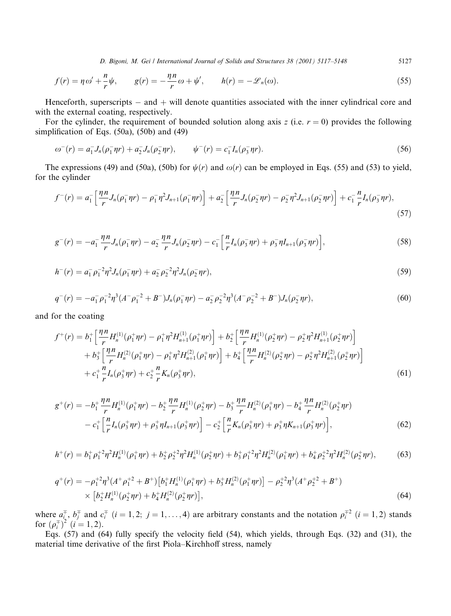5127

$$
f(r) = \eta \omega' + \frac{n}{r} \psi, \qquad g(r) = -\frac{\eta n}{r} \omega + \psi', \qquad h(r) = -\mathcal{L}_n(\omega). \tag{55}
$$

Henceforth, superscripts  $-$  and  $+$  will denote quantities associated with the inner cylindrical core and with the external coating, respectively.

For the cylinder, the requirement of bounded solution along axis z (i.e.  $r = 0$ ) provides the following simplification of Eqs.  $(50a)$ ,  $(50b)$  and  $(49)$ 

$$
\omega^{-}(r) = a_1^{-}J_n(\rho_1^{-}\eta r) + a_2^{-}J_n(\rho_2^{-}\eta r), \qquad \psi^{-}(r) = c_1^{-}I_n(\rho_3^{-}\eta r). \tag{56}
$$

The expressions (49) and (50a), (50b) for  $\psi(r)$  and  $\omega(r)$  can be employed in Eqs. (55) and (53) to yield, for the cylinder

$$
f^-(r) = a_1^- \left[ \frac{\eta n}{r} J_n(\rho_1^- \eta r) - \rho_1^- \eta^2 J_{n+1}(\rho_1^- \eta r) \right] + a_2^- \left[ \frac{\eta n}{r} J_n(\rho_2^- \eta r) - \rho_2^- \eta^2 J_{n+1}(\rho_2^- \eta r) \right] + c_1^- \frac{n}{r} I_n(\rho_3^- \eta r), \tag{57}
$$

$$
g^{-}(r) = -a_{1}^{-} \frac{\eta n}{r} J_{n}(\rho_{1}^{-} \eta r) - a_{2}^{-} \frac{\eta n}{r} J_{n}(\rho_{2}^{-} \eta r) - c_{1}^{-} \left[ \frac{n}{r} I_{n}(\rho_{3}^{-} \eta r) + \rho_{3}^{-} \eta I_{n+1}(\rho_{3}^{-} \eta r) \right],
$$
\n(58)

$$
h^-(r) = a_1^- \rho_1^{-2} \eta^2 J_n(\rho_1^- \eta r) + a_2^- \rho_2^{-2} \eta^2 J_n(\rho_2^- \eta r), \tag{59}
$$

$$
q^-(r) = -a_1^-\rho_1^{-2}\eta^3(A^-\rho_1^{-2} + B^-)J_n(\rho_1^-\eta r) - a_2^-\rho_2^{-2}\eta^3(A^-\rho_2^{-2} + B^-)J_n(\rho_2^-\eta r),\tag{60}
$$

and for the coating

$$
f^{+}(r) = b_{1}^{+} \left[ \frac{\eta n}{r} H_{n}^{(1)}(\rho_{1}^{+}\eta r) - \rho_{1}^{+}\eta^{2} H_{n+1}^{(1)}(\rho_{1}^{+}\eta r) \right] + b_{2}^{+} \left[ \frac{\eta n}{r} H_{n}^{(1)}(\rho_{2}^{+}\eta r) - \rho_{2}^{+}\eta^{2} H_{n+1}^{(1)}(\rho_{2}^{+}\eta r) \right] + b_{3}^{+} \left[ \frac{\eta n}{r} H_{n}^{(2)}(\rho_{1}^{+}\eta r) - \rho_{1}^{+}\eta^{2} H_{n+1}^{(2)}(\rho_{1}^{+}\eta r) \right] + b_{4}^{+} \left[ \frac{\eta n}{r} H_{n}^{(2)}(\rho_{2}^{+}\eta r) - \rho_{2}^{+}\eta^{2} H_{n+1}^{(2)}(\rho_{2}^{+}\eta r) \right] + c_{1}^{+} \frac{n}{r} I_{n}(\rho_{3}^{+}\eta r) + c_{2}^{+} \frac{n}{r} K_{n}(\rho_{3}^{+}\eta r),
$$
\n(61)

$$
g^{+}(r) = -b_{1}^{+}\frac{\eta n}{r}H_{n}^{(1)}(\rho_{1}^{+}\eta r) - b_{2}^{+}\frac{\eta n}{r}H_{n}^{(1)}(\rho_{2}^{+}\eta r) - b_{3}^{+}\frac{\eta n}{r}H_{n}^{(2)}(\rho_{1}^{+}\eta r) - b_{4}^{+}\frac{\eta n}{r}H_{n}^{(2)}(\rho_{2}^{+}\eta r)
$$

$$
-c_{1}^{+}\Big[\frac{n}{r}I_{n}(\rho_{3}^{+}\eta r) + \rho_{3}^{+}\eta I_{n+1}(\rho_{3}^{+}\eta r)\Big] - c_{2}^{+}\Big[\frac{n}{r}K_{n}(\rho_{3}^{+}\eta r) + \rho_{3}^{+}\eta K_{n+1}(\rho_{3}^{+}\eta r)\Big],
$$
(62)

$$
h^+(r) = b_1^+ \rho_1^{+2} \eta^2 H_n^{(1)}(\rho_1^+ \eta r) + b_2^+ \rho_2^{+2} \eta^2 H_n^{(1)}(\rho_2^+ \eta r) + b_3^+ \rho_1^{+2} \eta^2 H_n^{(2)}(\rho_1^+ \eta r) + b_4^+ \rho_2^{+2} \eta^2 H_n^{(2)}(\rho_2^+ \eta r), \tag{63}
$$

$$
q^{+}(r) = -\rho_{1}^{+2}\eta^{3}(A^{+}\rho_{1}^{+2} + B^{+})\left[b_{1}^{+}H_{n}^{(1)}(\rho_{1}^{+}\eta r) + b_{3}^{+}H_{n}^{(2)}(\rho_{1}^{+}\eta r)\right] - \rho_{2}^{+2}\eta^{3}(A^{+}\rho_{2}^{+2} + B^{+})
$$
  
 
$$
\times \left[b_{2}^{+}H_{n}^{(1)}(\rho_{2}^{+}\eta r) + b_{4}^{+}H_{n}^{(2)}(\rho_{2}^{+}\eta r)\right],
$$
 (64)

where  $a_i^{\dagger}$ ,  $b_j^{\dagger}$  and  $c_i^{\dagger}$  ( $i = 1, 2; j = 1, ..., 4$ ) are arbitrary constants and the notation  $\rho_i^{\dagger 2}$  ( $i = 1, 2$ ) stands for  $(\rho_i^{\dagger})^2$  ( $i = 1, 2$ ).

Eqs.  $(57)$  and  $(64)$  fully specify the velocity field  $(54)$ , which yields, through Eqs.  $(32)$  and  $(31)$ , the material time derivative of the first Piola–Kirchhoff stress, namely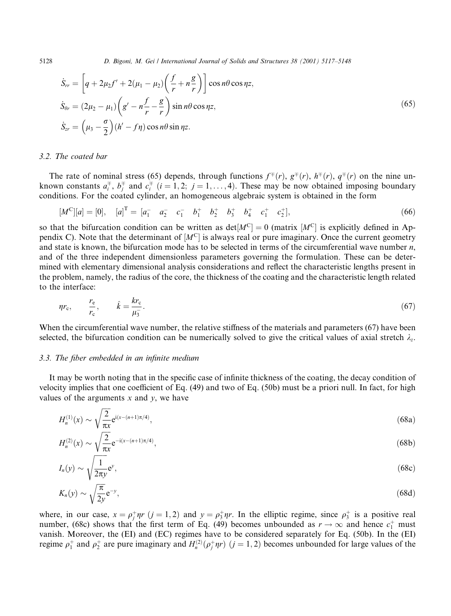$$
\dot{S}_{rr} = \left[ q + 2\mu_2 f' + 2(\mu_1 - \mu_2) \left( \frac{f}{r} + n \frac{g}{r} \right) \right] \cos n\theta \cos \eta z,
$$
\n
$$
\dot{S}_{\theta r} = (2\mu_2 - \mu_1) \left( g' - n \frac{f}{r} - \frac{g}{r} \right) \sin n\theta \cos \eta z,
$$
\n
$$
\dot{S}_{zr} = \left( \mu_3 - \frac{\sigma}{2} \right) (h' - f\eta) \cos n\theta \sin \eta z.
$$
\n(65)

#### 3.2. The coated bar

The rate of nominal stress (65) depends, through functions  $f^{\pm}(r)$ ,  $g^{\pm}(r)$ ,  $h^{\pm}(r)$ ,  $q^{\pm}(r)$  on the nine unknown constants  $a_i^{\dagger}$ ,  $b_i^{\dagger}$  and  $c_i^{\dagger}$  ( $i = 1, 2; j = 1, ..., 4$ ). These may be now obtained imposing boundary conditions. For the coated cylinder, an homogeneous algebraic system is obtained in the form

$$
[M^C][a] = [0], \quad [a]^T = [a_1^- \quad a_2^- \quad c_1^- \quad b_1^+ \quad b_2^+ \quad b_3^+ \quad b_4^+ \quad c_1^+ \quad c_2^+], \tag{66}
$$

so that the bifurcation condition can be written as  $det[M^C] = 0$  (matrix  $[M^C]$  is explicitly defined in Appendix C). Note that the determinant of  $[M<sup>C</sup>]$  is always real or pure imaginary. Once the current geometry and state is known, the bifurcation mode has to be selected in terms of the circumferential wave number  $n$ , and of the three independent dimensionless parameters governing the formulation. These can be determined with elementary dimensional analysis considerations and reflect the characteristic lengths present in the problem, namely, the radius of the core, the thickness of the coating and the characteristic length related to the interface:

$$
\eta r_{\rm c}, \qquad \frac{r_{\rm e}}{r_{\rm c}}, \qquad \hat{k} = \frac{k r_{\rm c}}{\mu_3}.\tag{67}
$$

When the circumferential wave number, the relative stiffness of the materials and parameters  $(67)$  have been selected, the bifurcation condition can be numerically solved to give the critical values of axial stretch  $\lambda_z$ .

### 3.3. The fiber embedded in an infinite medium

It may be worth noting that in the specific case of infinite thickness of the coating, the decay condition of velocity implies that one coefficient of Eq. (49) and two of Eq. (50b) must be a priori null. In fact, for high values of the arguments x and y, we have

$$
H_n^{(1)}(x) \sim \sqrt{\frac{2}{\pi x}} e^{i(x - (n+1)\pi/4)},\tag{68a}
$$

$$
H_n^{(2)}(x) \sim \sqrt{\frac{2}{\pi x}} e^{-i(x - (n+1)\pi/4)},\tag{68b}
$$

$$
I_n(y) \sim \sqrt{\frac{1}{2\pi y}} e^y,\tag{68c}
$$

$$
K_n(y) \sim \sqrt{\frac{\pi}{2y}} e^{-y},\tag{68d}
$$

where, in our case,  $x = \rho_i^+ \eta r$  ( $j = 1, 2$ ) and  $y = \rho_3^+ \eta r$ . In the elliptic regime, since  $\rho_3^+$  is a positive real number, (68c) shows that the first term of Eq. (49) becomes unbounded as  $r \to \infty$  and hence  $c_1^+$  must vanish. Moreover, the (EI) and (EC) regimes have to be considered separately for Eq. (50b). In the (EI) regime  $\rho_1^+$  and  $\rho_2^+$  are pure imaginary and  $H_n^{(2)}(\rho_1^+ \eta r)$   $(j = 1, 2)$  becomes unbounded for large values of the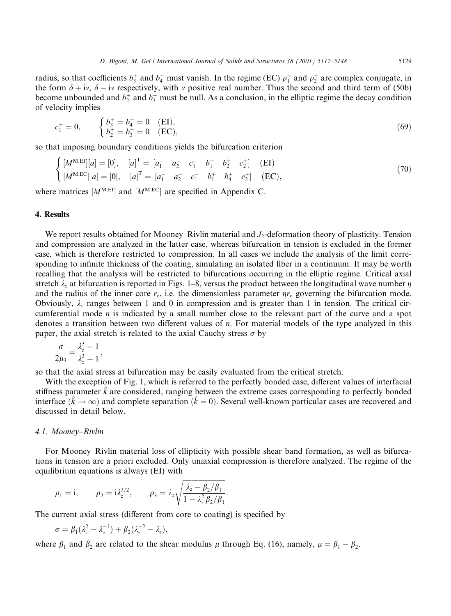radius, so that coefficients  $b_3^+$  and  $b_4^+$  must vanish. In the regime (EC)  $\rho_1^+$  and  $\rho_2^+$  are complex conjugate, in the form  $\delta + i v$ ,  $\delta - i v$  respectively, with v positive real number. Thus the second and third term of (50b) become unbounded and  $b_2^+$  and  $b_3^+$  must be null. As a conclusion, in the elliptic regime the decay condition of velocity implies

$$
c_1^+ = 0, \qquad \begin{cases} b_3^+ = b_4^+ = 0 & \text{(EI)},\\ b_2^+ = b_3^+ = 0 & \text{(EC)}, \end{cases} \tag{69}
$$

so that imposing boundary conditions yields the bifurcation criterion

$$
\begin{cases}\n[M^{\text{M,EI}}][a] = [0], & [a]^1 = [a_1^- & a_2^- & c_1^- & b_1^+ & b_2^+ & c_2^+ \\
[M^{\text{M,EC}}][a] = [0], & [a]^T = [a_1^- & a_2^- & c_1^- & b_1^+ & b_4^+ & c_2^+]\n\end{cases} (EI)
$$
\n(70)

where matrices  $[M^{M, EI}]$  and  $[M^{M, EC}]$  are specified in Appendix C.

#### 4. Results

We report results obtained for Mooney–Rivlin material and  $J_2$ -deformation theory of plasticity. Tension and compression are analyzed in the latter case, whereas bifurcation in tension is excluded in the former case, which is therefore restricted to compression. In all cases we include the analysis of the limit corresponding to infinite thickness of the coating, simulating an isolated fiber in a continuum. It may be worth recalling that the analysis will be restricted to bifurcations occurring in the elliptic regime. Critical axial stretch  $\lambda_z$  at bifurcation is reported in Figs. 1–8, versus the product between the longitudinal wave number  $\eta$ and the radius of the inner core  $r_c$ , i.e. the dimensionless parameter  $\eta r_c$  governing the bifurcation mode. Obviously,  $\lambda_z$  ranges between 1 and 0 in compression and is greater than 1 in tension. The critical circumferential mode  $n$  is indicated by a small number close to the relevant part of the curve and a spot denotes a transition between two different values of  $n$ . For material models of the type analyzed in this paper, the axial stretch is related to the axial Cauchy stress  $\sigma$  by

$$
\frac{\sigma}{2\mu_3} = \frac{\lambda_z^3 - 1}{\lambda_z^3 + 1},
$$

so that the axial stress at bifurcation may be easily evaluated from the critical stretch.

With the exception of Fig. 1, which is referred to the perfectly bonded case, different values of interfacial stiffness parameter  $k$  are considered, ranging between the extreme cases corresponding to perfectly bonded interface  $(\hat{k} \to \infty)$  and complete separation  $(\hat{k} = 0)$ . Several well-known particular cases are recovered and discussed in detail below.

### 4.1. Mooney-Rivlin

For Mooney–Rivlin material loss of ellipticity with possible shear band formation, as well as bifurcations in tension are a priori excluded. Only uniaxial compression is therefore analyzed. The regime of the equilibrium equations is always (EI) with

$$
\rho_1 = i
$$
,  $\rho_2 = i \lambda_z^{3/2}$ ,  $\rho_3 = \lambda_z \sqrt{\frac{\lambda_z - \beta_2/\beta_1}{1 - \lambda_z^2 \beta_2/\beta_1}}$ .

The current axial stress (different from core to coating) is specified by

$$
\sigma=\beta_1(\lambda_z^2-\lambda_z^{-1})+\beta_2(\lambda_z^{-2}-\lambda_z),
$$

where  $\beta_1$  and  $\beta_2$  are related to the shear modulus  $\mu$  through Eq. (16), namely,  $\mu = \beta_1 - \beta_2$ .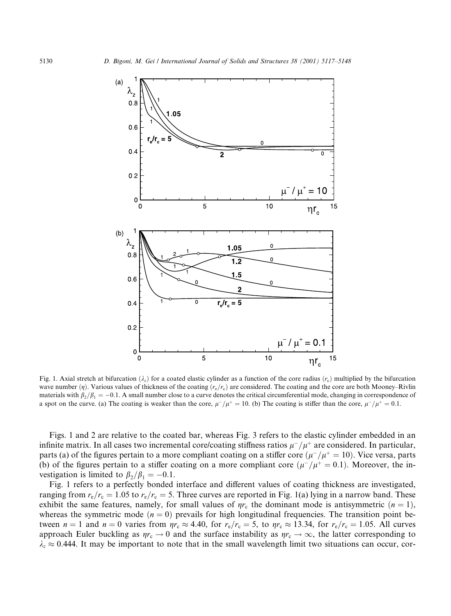

Fig. 1. Axial stretch at bifurcation  $(\lambda_z)$  for a coated elastic cylinder as a function of the core radius  $(r_c)$  multiplied by the bifurcation wave number  $(\eta)$ . Various values of thickness of the coating  $(r_e/r_e)$  are considered. The coating and the core are both Mooney–Rivlin materials with  $\beta_2/\beta_1 = -0.1$ . A small number close to a curve denotes the critical circumferential mode, changing in correspondence of a spot on the curve. (a) The coating is weaker than the core,  $\mu^{-}/\mu^{+} = 10$ . (b) The coating is stiffer than the core,  $\mu^{-}/\mu^{+} = 0.1$ .

Figs. 1 and 2 are relative to the coated bar, whereas Fig. 3 refers to the elastic cylinder embedded in an infinite matrix. In all cases two incremental core/coating stiffness ratios  $\mu^-/\mu^+$  are considered. In particular, parts (a) of the figures pertain to a more compliant coating on a stiffer core  $(\mu^-/\mu^+ = 10)$ . Vice versa, parts (b) of the figures pertain to a stiffer coating on a more compliant core  $(\mu^-/\mu^+ = 0.1)$ . Moreover, the investigation is limited to  $\beta_2/\beta_1 = -0.1$ .

Fig. 1 refers to a perfectly bonded interface and different values of coating thickness are investigated, ranging from  $r_e/r_c = 1.05$  to  $r_e/r_c = 5$ . Three curves are reported in Fig. 1(a) lying in a narrow band. These exhibit the same features, namely, for small values of  $\eta r_c$  the dominant mode is antisymmetric  $(n = 1)$ , whereas the symmetric mode  $(n = 0)$  prevails for high longitudinal frequencies. The transition point between  $n = 1$  and  $n = 0$  varies from  $\eta r_c \approx 4.40$ , for  $r_e/r_c = 5$ , to  $\eta r_c \approx 13.34$ , for  $r_e/r_c = 1.05$ . All curves approach Euler buckling as  $\eta r_c \to 0$  and the surface instability as  $\eta r_c \to \infty$ , the latter corresponding to  $\lambda_z \approx 0.444$ . It may be important to note that in the small wavelength limit two situations can occur, cor-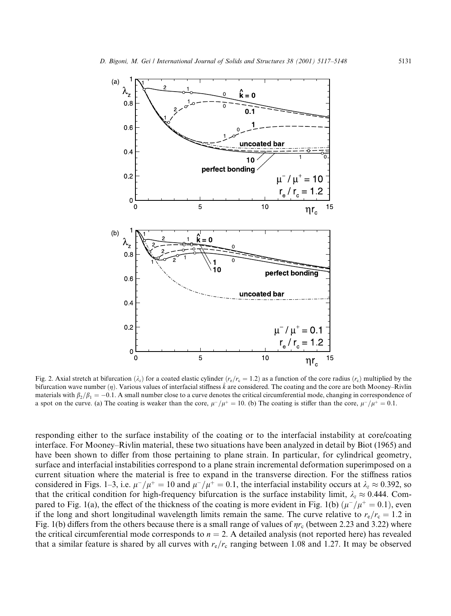

Fig. 2. Axial stretch at bifurcation  $(\lambda_z)$  for a coated elastic cylinder  $(r_e/r_e = 1.2)$  as a function of the core radius  $(r_c)$  multiplied by the bifurcation wave number  $(\eta)$ . Various values of interfacial stiffness  $\hat{k}$  are considered. The coating and the core are both Mooney–Rivlin materials with  $\beta_2/\beta_1 = -0.1$ . A small number close to a curve denotes the critical circumferential mode, changing in correspondence of a spot on the curve. (a) The coating is weaker than the core,  $\mu^{-}/\mu^{+} = 10$ . (b) The coating is stiffer than the core,  $\mu^{-}/\mu^{+} = 0.1$ .

responding either to the surface instability of the coating or to the interfacial instability at core/coating interface. For Mooney–Rivlin material, these two situations have been analyzed in detail by Biot (1965) and have been shown to differ from those pertaining to plane strain. In particular, for cylindrical geometry, surface and interfacial instabilities correspond to a plane strain incremental deformation superimposed on a current situation where the material is free to expand in the transverse direction. For the stiffness ratios considered in Figs. 1–3, i.e.  $\mu^{-}/\mu^{+} = 10$  and  $\mu^{-}/\mu^{+} = 0.1$ , the interfacial instability occurs at  $\lambda_{z} \approx 0.392$ , so that the critical condition for high-frequency bifurcation is the surface instability limit,  $\lambda_z \approx 0.444$ . Compared to Fig. 1(a), the effect of the thickness of the coating is more evident in Fig. 1(b)  $(\mu^-/\mu^+ = 0.1)$ , even if the long and short longitudinal wavelength limits remain the same. The curve relative to  $r_c/r_c = 1.2$  in Fig. 1(b) differs from the others because there is a small range of values of  $\eta r_c$  (between 2.23 and 3.22) where the critical circumferential mode corresponds to  $n = 2$ . A detailed analysis (not reported here) has revealed that a similar feature is shared by all curves with  $r_e/r_c$  ranging between 1.08 and 1.27. It may be observed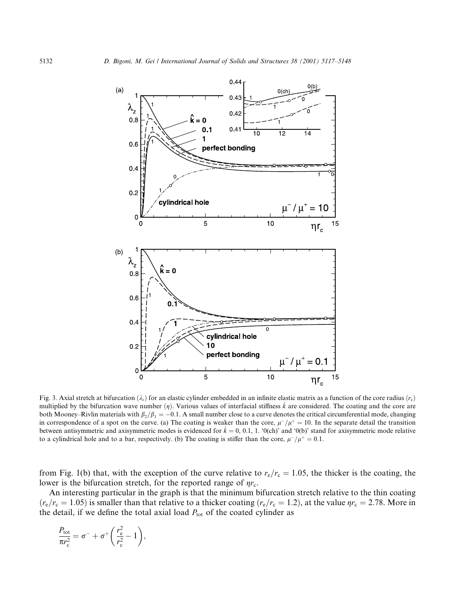

Fig. 3. Axial stretch at bifurcation  $(\lambda_z)$  for an elastic cylinder embedded in an infinite elastic matrix as a function of the core radius  $(r_c)$ multiplied by the bifurcation wave number  $(\eta)$ . Various values of interfacial stiffness k are considered. The coating and the core are both Mooney–Rivlin materials with  $\beta_2/\beta_1 = -0.1$ . A small number close to a curve denotes the critical circumferential mode, changing in correspondence of a spot on the curve. (a) The coating is weaker than the core,  $\mu^+/\mu^+ = 10$ . In the separate detail the transition between antisymmetric and axisymmetric modes is evidenced for  $\hat{k} = 0, 0.1, 1$ . '0(ch)' and '0(b)' stand for axisymmetric mode relative to a cylindrical hole and to a bar, respectively. (b) The coating is stiffer than the core,  $\mu^-/\mu^+ = 0.1$ .

from Fig. 1(b) that, with the exception of the curve relative to  $r_c/r_c = 1.05$ , the thicker is the coating, the lower is the bifurcation stretch, for the reported range of  $\eta r_c$ .

An interesting particular in the graph is that the minimum bifurcation stretch relative to the thin coating  $(r_{\rm e}/r_{\rm c}=1.05)$  is smaller than that relative to a thicker coating  $(r_{\rm e}/r_{\rm c}=1.2)$ , at the value  $\eta r_{\rm c}=2.78$ . More in the detail, if we define the total axial load  $P_{\text{tot}}$  of the coated cylinder as

$$
\frac{P_{\text{tot}}}{\pi r_{\text{c}}^2} = \sigma^- + \sigma^+ \bigg( \frac{r_{\text{c}}^2}{r_{\text{c}}^2} - 1 \bigg),
$$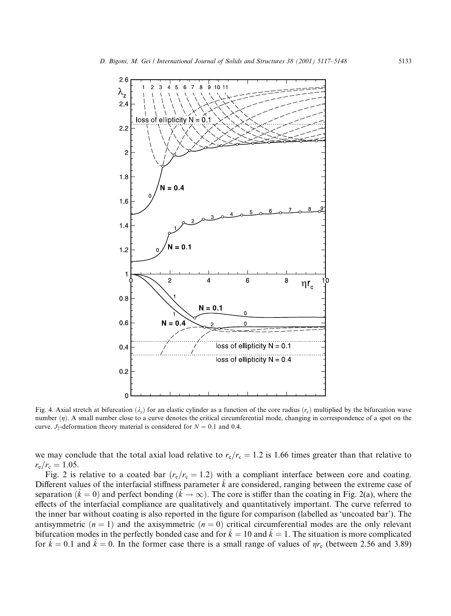

Fig. 4. Axial stretch at bifurcation  $(\lambda_z)$  for an elastic cylinder as a function of the core radius  $(r_c)$  multiplied by the bifurcation wave number  $(\eta)$ . A small number close to a curve denotes the critical circumferential mode, changing in correspondence of a spot on the curve.  $J_2$ -deformation theory material is considered for  $N = 0.1$  and 0.4.

we may conclude that the total axial load relative to  $r_e/r_c = 1.2$  is 1.66 times greater than that relative to  $r_{\rm e}/r_{\rm c}=1.05$ .

Fig. 2 is relative to a coated bar  $(r_e/r_e = 1.2)$  with a compliant interface between core and coating. Different values of the interfacial stiffness parameter  $k$  are considered, ranging between the extreme case of separation  $(k = 0)$  and perfect bonding  $(k \to \infty)$ . The core is stiffer than the coating in Fig. 2(a), where the effects of the interfacial compliance are qualitatively and quantitatively important. The curve referred to the inner bar without coating is also reported in the figure for comparison (labelled as 'uncoated bar'). The antisymmetric  $(n = 1)$  and the axisymmetric  $(n = 0)$  critical circumferential modes are the only relevant bifurcation modes in the perfectly bonded case and for  $\hat{k} = 10$  and  $\hat{k} = 1$ . The situation is more complicated for  $k = 0.1$  and  $k = 0$ . In the former case there is a small range of values of  $\eta r_c$  (between 2.56 and 3.89)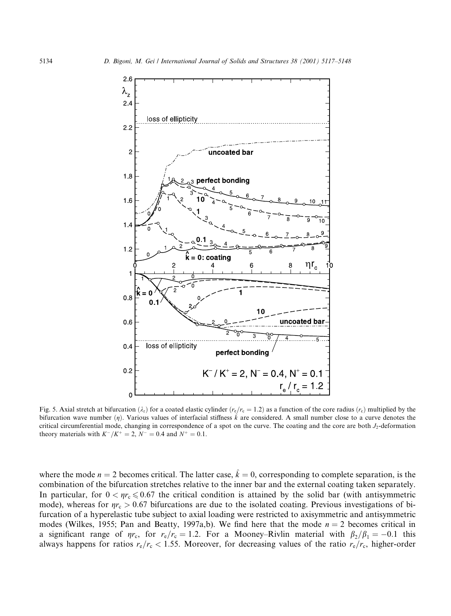

Fig. 5. Axial stretch at bifurcation  $(\lambda_z)$  for a coated elastic cylinder  $(r_e/r_e = 1.2)$  as a function of the core radius  $(r_e)$  multiplied by the bifurcation wave number  $(\eta)$ . Various values of interfacial stiffness  $\hat{k}$  are considered. A small number close to a curve denotes the critical circumferential mode, changing in correspondence of a spot on the curve. The coating and the core are both J<sub>2</sub>-deformation theory materials with  $K^-/K^+ = 2$ ,  $N^- = 0.4$  and  $N^+ = 0.1$ .

where the mode  $n = 2$  becomes critical. The latter case,  $\hat{k} = 0$ , corresponding to complete separation, is the combination of the bifurcation stretches relative to the inner bar and the external coating taken separately. In particular, for  $0 < \eta r_c \le 0.67$  the critical condition is attained by the solid bar (with antisymmetric mode), whereas for  $\eta r_c > 0.67$  bifurcations are due to the isolated coating. Previous investigations of bifurcation of a hyperelastic tube subject to axial loading were restricted to axisymmetric and antisymmetric modes (Wilkes, 1955; Pan and Beatty, 1997a,b). We find here that the mode  $n = 2$  becomes critical in a significant range of  $\eta r_c$ , for  $r_e/r_c = 1.2$ . For a Mooney-Rivlin material with  $\beta_2/\beta_1 = -0.1$  this always happens for ratios  $r_e/r_c$  < 1.55. Moreover, for decreasing values of the ratio  $r_e/r_c$ , higher-order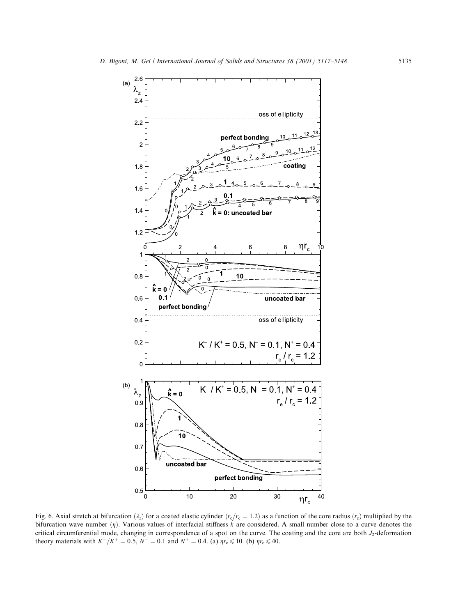

Fig. 6. Axial stretch at bifurcation  $(\lambda_z)$  for a coated elastic cylinder  $(r_e/r_e = 1.2)$  as a function of the core radius  $(r_c)$  multiplied by the bifurcation wave number  $(\eta)$ . Various values of interfacial stiffness  $\hat{k}$  are considered. A small number close to a curve denotes the critical circumferential mode, changing in correspondence of a spot on the curve. The coating and the core are both J<sub>2</sub>-deformation theory materials with  $K^-/K^+ = 0.5$ ,  $N^- = 0.1$  and  $N^+ = 0.4$ . (a)  $\eta r_c \le 10$ . (b)  $\eta r_c \le 40$ .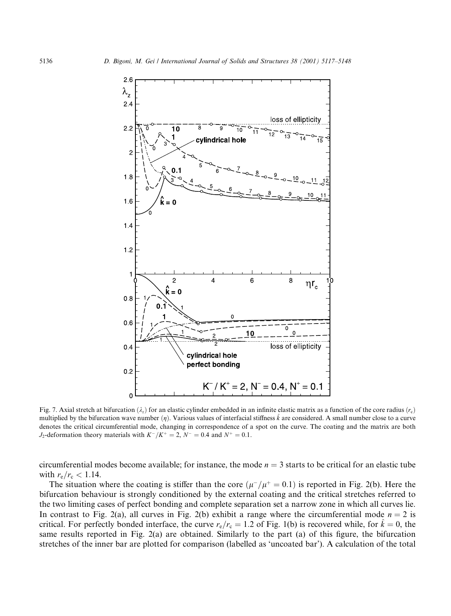

Fig. 7. Axial stretch at bifurcation  $(\lambda_z)$  for an elastic cylinder embedded in an infinite elastic matrix as a function of the core radius  $(r_c)$ multiplied by the bifurcation wave number  $(\eta)$ . Various values of interfacial stiffness  $\hat{k}$  are considered. A small number close to a curve denotes the critical circumferential mode, changing in correspondence of a spot on the curve. The coating and the matrix are both  $J_2$ -deformation theory materials with  $K^-/K^+ = 2$ ,  $N^- = 0.4$  and  $N^+ = 0.1$ .

circumferential modes become available; for instance, the mode  $n = 3$  starts to be critical for an elastic tube with  $r_{\rm e}/r_{\rm c} < 1.14$ .

The situation where the coating is stiffer than the core  $(\mu^-/\mu^+ = 0.1)$  is reported in Fig. 2(b). Here the bifurcation behaviour is strongly conditioned by the external coating and the critical stretches referred to the two limiting cases of perfect bonding and complete separation set a narrow zone in which all curves lie. In contrast to Fig. 2(a), all curves in Fig. 2(b) exhibit a range where the circumferential mode  $n = 2$  is critical. For perfectly bonded interface, the curve  $r_e/r_c = 1.2$  of Fig. 1(b) is recovered while, for  $k = 0$ , the same results reported in Fig. 2(a) are obtained. Similarly to the part (a) of this figure, the bifurcation stretches of the inner bar are plotted for comparison (labelled as 'uncoated bar'). A calculation of the total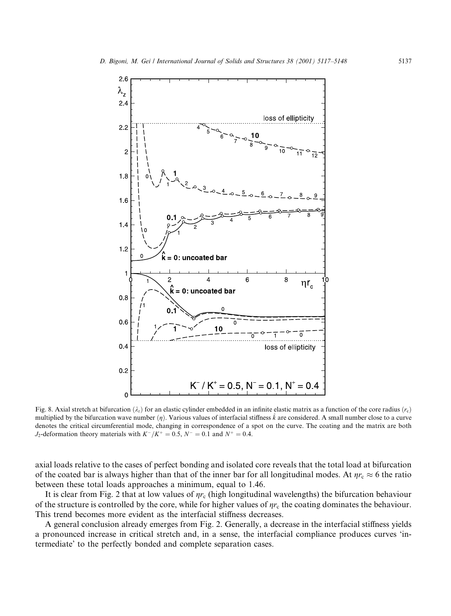

Fig. 8. Axial stretch at bifurcation  $(\lambda_z)$  for an elastic cylinder embedded in an infinite elastic matrix as a function of the core radius  $(r_c)$ multiplied by the bifurcation wave number ( $\eta$ ). Various values of interfacial stiffness  $\hat{k}$  are considered. A small number close to a curve denotes the critical circumferential mode, changing in correspondence of a spot on the curve. The coating and the matrix are both  $J_2$ -deformation theory materials with  $K^-/K^+ = 0.5$ ,  $N^- = 0.1$  and  $N^+ = 0.4$ .

axial loads relative to the cases of perfect bonding and isolated core reveals that the total load at bifurcation of the coated bar is always higher than that of the inner bar for all longitudinal modes. At  $\eta r_c \approx 6$  the ratio between these total loads approaches a minimum, equal to 1.46.

It is clear from Fig. 2 that at low values of  $\eta r_c$  (high longitudinal wavelengths) the bifurcation behaviour of the structure is controlled by the core, while for higher values of  $\eta r_c$  the coating dominates the behaviour. This trend becomes more evident as the interfacial stiffness decreases.

A general conclusion already emerges from Fig. 2. Generally, a decrease in the interfacial stiffness yields a pronounced increase in critical stretch and, in a sense, the interfacial compliance produces curves 'intermediate' to the perfectly bonded and complete separation cases.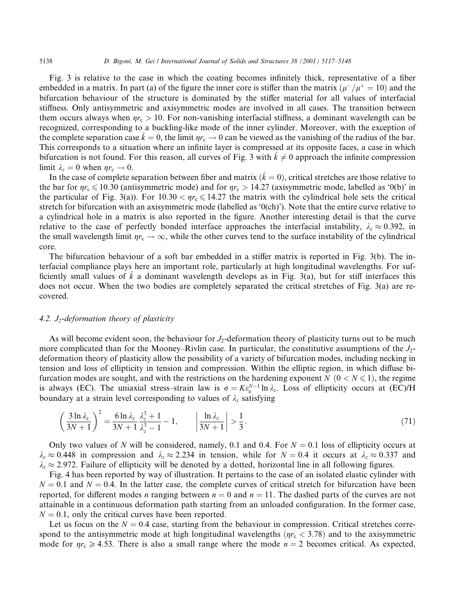Fig. 3 is relative to the case in which the coating becomes infinitely thick, representative of a fiber embedded in a matrix. In part (a) of the figure the inner core is stiffer than the matrix  $(\mu^-/\mu^+ = 10)$  and the bifurcation behaviour of the structure is dominated by the stiffer material for all values of interfacial stiffness. Only antisymmetric and axisymmetric modes are involved in all cases. The transition between them occurs always when  $\eta r_c > 10$ . For non-vanishing interfacial stiffness, a dominant wavelength can be recognized, corresponding to a buckling-like mode of the inner cylinder. Moreover, with the exception of the complete separation case  $k = 0$ , the limit  $\eta r_c \rightarrow 0$  can be viewed as the vanishing of the radius of the bar. This corresponds to a situation where an infinite layer is compressed at its opposite faces, a case in which bifurcation is not found. For this reason, all curves of Fig. 3 with  $k \neq 0$  approach the infinite compression limit  $\lambda_z = 0$  when  $\eta r_c \rightarrow 0$ .

In the case of complete separation between fiber and matrix  $(k = 0)$ , critical stretches are those relative to the bar for  $\eta r_c \le 10.30$  (antisymmetric mode) and for  $\eta r_c > 14.27$  (axisymmetric mode, labelled as '0(b)' in the particular of Fig. 3(a)). For  $10.30 < \eta r_c \le 14.27$  the matrix with the cylindrical hole sets the critical stretch for bifurcation with an axisymmetric mode (labelled as  $(0$ (ch)'). Note that the entire curve relative to a cylindrical hole in a matrix is also reported in the figure. Another interesting detail is that the curve relative to the case of perfectly bonded interface approaches the interfacial instability,  $\lambda_z \approx 0.392$ , in the small wavelength limit  $\eta r_c \to \infty$ , while the other curves tend to the surface instability of the cylindrical core.

The bifurcation behaviour of a soft bar embedded in a stiffer matrix is reported in Fig. 3(b). The interfacial compliance plays here an important role, particularly at high longitudinal wavelengths. For sufficiently small values of k a dominant wavelength develops as in Fig. 3(a), but for stiff interfaces this does not occur. When the two bodies are completely separated the critical stretches of Fig. 3(a) are recovered.

## 4.2. J<sub>2</sub>-deformation theory of plasticity

As will become evident soon, the behaviour for  $J_2$ -deformation theory of plasticity turns out to be much more complicated than for the Mooney–Rivlin case. In particular, the constitutive assumptions of the  $J_2$ deformation theory of plasticity allow the possibility of a variety of bifurcation modes, including necking in tension and loss of ellipticity in tension and compression. Within the elliptic region, in which diffuse bifurcation modes are sought, and with the restrictions on the hardening exponent N  $(0 < N \le 1)$ , the regime is always (EC). The uniaxial stress-strain law is  $\sigma = K \epsilon_{\rm e}^{N-1} \ln \lambda_z$ . Loss of ellipticity occurs at (EC)/H boundary at a strain level corresponding to values of  $\lambda_z$  satisfying

$$
\left(\frac{3\ln\lambda_z}{3N+1}\right)^2 = \frac{6\ln\lambda_z}{3N+1}\frac{\lambda_z^3+1}{\lambda_z^3-1} - 1, \qquad \left|\frac{\ln\lambda_z}{3N+1}\right| > \frac{1}{3}.\tag{71}
$$

Only two values of N will be considered, namely, 0.1 and 0.4. For  $N = 0.1$  loss of ellipticity occurs at  $\lambda_z \approx 0.448$  in compression and  $\lambda_z \approx 2.234$  in tension, while for  $N = 0.4$  it occurs at  $\lambda_z \approx 0.337$  and  $\lambda_z \approx 2.972$ . Failure of ellipticity will be denoted by a dotted, horizontal line in all following figures.

Fig. 4 has been reported by way of illustration. It pertains to the case of an isolated elastic cylinder with  $N = 0.1$  and  $N = 0.4$ . In the latter case, the complete curves of critical stretch for bifurcation have been reported, for different modes *n* ranging between  $n = 0$  and  $n = 11$ . The dashed parts of the curves are not attainable in a continuous deformation path starting from an unloaded configuration. In the former case,  $N = 0.1$ , only the critical curves have been reported.

Let us focus on the  $N = 0.4$  case, starting from the behaviour in compression. Critical stretches correspond to the antisymmetric mode at high longitudinal wavelengths ( $\eta r_c < 3.78$ ) and to the axisymmetric mode for  $\eta r_c \ge 4.53$ . There is also a small range where the mode  $n = 2$  becomes critical. As expected,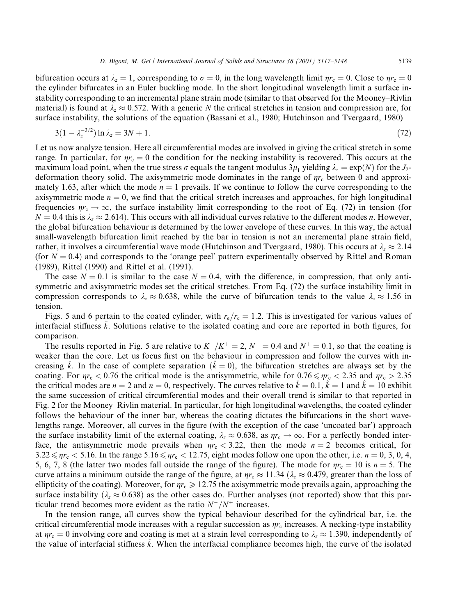5139

bifurcation occurs at  $\lambda_z = 1$ , corresponding to  $\sigma = 0$ , in the long wavelength limit  $\eta r_c = 0$ . Close to  $\eta r_c = 0$ the cylinder bifurcates in an Euler buckling mode. In the short longitudinal wavelength limit a surface instability corresponding to an incremental plane strain mode (similar to that observed for the Mooney–Rivlin material) is found at  $\lambda_z \approx 0.572$ . With a generic N the critical stretches in tension and compression are, for surface instability, the solutions of the equation (Bassani et al., 1980; Hutchinson and Tvergaard, 1980)

$$
3(1 - \lambda_7^{-3/2}) \ln \lambda_z = 3N + 1. \tag{72}
$$

Let us now analyze tension. Here all circumferential modes are involved in giving the critical stretch in some range. In particular, for  $\eta r_c = 0$  the condition for the necking instability is recovered. This occurs at the maximum load point, when the true stress  $\sigma$  equals the tangent modulus  $3\mu_1$  yielding  $\lambda_z = \exp(N)$  for the  $J_2$ deformation theory solid. The axisymmetric mode dominates in the range of  $\eta r_c$  between 0 and approximately 1.63, after which the mode  $n = 1$  prevails. If we continue to follow the curve corresponding to the axisymmetric mode  $n = 0$ , we find that the critical stretch increases and approaches, for high longitudinal frequencies  $\eta r_c \to \infty$ , the surface instability limit corresponding to the root of Eq. (72) in tension (for  $N = 0.4$  this is  $\lambda_z \approx 2.614$ ). This occurs with all individual curves relative to the different modes n. However, the global bifurcation behaviour is determined by the lower envelope of these curves. In this way, the actual small-wavelength bifurcation limit reached by the bar in tension is not an incremental plane strain field, rather, it involves a circumferential wave mode (Hutchinson and Tvergaard, 1980). This occurs at  $\lambda_z \approx 2.14$ (for  $N = 0.4$ ) and corresponds to the 'orange peel' pattern experimentally observed by Rittel and Roman (1989), Rittel (1990) and Rittel et al. (1991).

The case  $N = 0.1$  is similar to the case  $N = 0.4$ , with the difference, in compression, that only antisymmetric and axisymmetric modes set the critical stretches. From Eq. (72) the surface instability limit in compression corresponds to  $\lambda_z \approx 0.638$ , while the curve of bifurcation tends to the value  $\lambda_z \approx 1.56$  in tension.

Figs. 5 and 6 pertain to the coated cylinder, with  $r_e/r_c = 1.2$ . This is investigated for various values of interfacial stiffness k. Solutions relative to the isolated coating and core are reported in both figures, for comparison.

The results reported in Fig. 5 are relative to  $K^-/K^+ = 2$ ,  $N^- = 0.4$  and  $N^+ = 0.1$ , so that the coating is weaker than the core. Let us focus first on the behaviour in compression and follow the curves with increasing k. In the case of complete separation  $(k = 0)$ , the bifurcation stretches are always set by the coating. For  $\eta r_c < 0.76$  the critical mode is the antisymmetric, while for  $0.76 \le \eta r_c < 2.35$  and  $\eta r_c > 2.35$ the critical modes are  $n = 2$  and  $n = 0$ , respectively. The curves relative to  $k = 0.1$ ,  $k = 1$  and  $k = 10$  exhibit the same succession of critical circumferential modes and their overall trend is similar to that reported in Fig. 2 for the Mooney–Rivlin material. In particular, for high longitudinal wavelengths, the coated cylinder follows the behaviour of the inner bar, whereas the coating dictates the bifurcations in the short wavelengths range. Moreover, all curves in the figure (with the exception of the case 'uncoated bar') approach the surface instability limit of the external coating,  $\lambda_z \approx 0.638$ , as  $\eta_r \to \infty$ . For a perfectly bonded interface, the antisymmetric mode prevails when  $\eta r_c < 3.22$ , then the mode  $n = 2$  becomes critical, for  $3.22 \le \eta r_c < 5.16$ . In the range  $5.16 \le \eta r_c < 12.75$ , eight modes follow one upon the other, i.e.  $n = 0, 3, 0, 4$ , 5, 6, 7, 8 (the latter two modes fall outside the range of the figure). The mode for  $\eta r_c = 10$  is  $n = 5$ . The curve attains a minimum outside the range of the figure, at  $\eta r_c \approx 11.34$  ( $\lambda_z \approx 0.479$ , greater than the loss of ellipticity of the coating). Moreover, for  $\eta r_c \ge 12.75$  the axisymmetric mode prevails again, approaching the surface instability ( $\lambda_z \approx 0.638$ ) as the other cases do. Further analyses (not reported) show that this particular trend becomes more evident as the ratio  $N^{-}/N^{+}$  increases.

In the tension range, all curves show the typical behaviour described for the cylindrical bar, i.e. the critical circumferential mode increases with a regular succession as  $\eta r_c$  increases. A necking-type instability at  $\eta r_c = 0$  involving core and coating is met at a strain level corresponding to  $\lambda_z \approx 1.390$ , independently of the value of interfacial stiffness  $\hat{k}$ . When the interfacial compliance becomes high, the curve of the isolated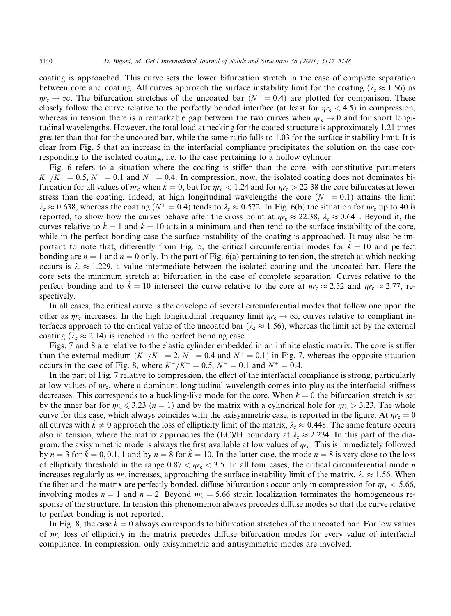coating is approached. This curve sets the lower bifurcation stretch in the case of complete separation between core and coating. All curves approach the surface instability limit for the coating ( $\lambda_z \approx 1.56$ ) as  $\eta r_c \to \infty$ . The bifurcation stretches of the uncoated bar ( $N^- = 0.4$ ) are plotted for comparison. These closely follow the curve relative to the perfectly bonded interface (at least for  $\eta r_c < 4.5$ ) in compression, whereas in tension there is a remarkable gap between the two curves when  $\eta r_c \rightarrow 0$  and for short longtudinal wavelengths. However, the total load at necking for the coated structure is approximately 1.21 times greater than that for the uncoated bar, while the same ratio falls to 1.03 for the surface instability limit. It is clear from Fig. 5 that an increase in the interfacial compliance precipitates the solution on the case corresponding to the isolated coating, i.e. to the case pertaining to a hollow cylinder.

Fig. 6 refers to a situation where the coating is stiffer than the core, with constitutive parameters  $K^-/K^+ = 0.5$ ,  $N^- = 0.1$  and  $N^+ = 0.4$ . In compression, now, the isolated coating does not dominates bifurcation for all values of  $\eta r_c$  when  $\ddot{k} = 0$ , but for  $\eta r_c < 1.24$  and for  $\eta r_c > 22.38$  the core bifurcates at lower stress than the coating. Indeed, at high longitudinal wavelengths the core  $(N^- = 0.1)$  attains the limit  $\lambda_z \approx 0.638$ , whereas the coating ( $N^+ = 0.4$ ) tends to  $\lambda_z \approx 0.572$ . In Fig. 6(b) the situation for  $\eta r_c$  up to 40 is reported, to show how the curves behave after the cross point at  $\eta r_c \approx 22.38$ ,  $\lambda_z \approx 0.641$ . Beyond it, the curves relative to  $\hat{k} = 1$  and  $\hat{k} = 10$  attain a minimum and then tend to the surface instability of the core, while in the perfect bonding case the surface instability of the coating is approached. It may also be important to note that, differently from Fig. 5, the critical circumferential modes for  $\hat{k} = 10$  and perfect bonding are  $n = 1$  and  $n = 0$  only. In the part of Fig. 6(a) pertaining to tension, the stretch at which necking occurs is  $\lambda_z \approx 1.229$ , a value intermediate between the isolated coating and the uncoated bar. Here the core sets the minimum stretch at bifurcation in the case of complete separation. Curves relative to the perfect bonding and to  $\hat{k} = 10$  intersect the curve relative to the core at  $\eta r_c \approx 2.52$  and  $\eta r_c \approx 2.77$ , respectively.

In all cases, the critical curve is the envelope of several circumferential modes that follow one upon the other as  $\eta r_c$  increases. In the high longitudinal frequency limit  $\eta r_c \to \infty$ , curves relative to compliant interfaces approach to the critical value of the uncoated bar ( $\lambda_z \approx 1.56$ ), whereas the limit set by the external coating ( $\lambda_z \approx 2.14$ ) is reached in the perfect bonding case.

Figs. 7 and 8 are relative to the elastic cylinder embedded in an infinite elastic matrix. The core is stiffer than the external medium  $(K^-/K^+ = 2, N^- = 0.4$  and  $N^+ = 0.1)$  in Fig. 7, whereas the opposite situation occurs in the case of Fig. 8, where  $K^{-}/K^{+} = 0.5$ ,  $N^{-} = 0.1$  and  $N^{+} = 0.4$ .

In the part of Fig. 7 relative to compression, the effect of the interfacial compliance is strong, particularly at low values of  $\eta r_c$ , where a dominant longitudinal wavelength comes into play as the interfacial stiffness decreases. This corresponds to a buckling-like mode for the core. When  $k = 0$  the bifurcation stretch is set by the inner bar for  $\eta r_c \leqslant 3.23$  ( $n = 1$ ) and by the matrix with a cylindrical hole for  $\eta r_c > 3.23$ . The whole curve for this case, which always coincides with the axisymmetric case, is reported in the figure. At  $\eta r_c = 0$ all curves with  $k \neq 0$  approach the loss of ellipticity limit of the matrix,  $\lambda_z \approx 0.448$ . The same feature occurs also in tension, where the matrix approaches the (EC)/H boundary at  $\lambda_z \approx 2.234$ . In this part of the diagram, the axisymmetric mode is always the first available at low values of  $\eta r_c$ . This is immediately followed by  $n = 3$  for  $\hat{k} = 0, 0.1, 1$  and by  $n = 8$  for  $\hat{k} = 10$ . In the latter case, the mode  $n = 8$  is very close to the loss of ellipticity threshold in the range  $0.87 < \eta r_c < 3.5$ . In all four cases, the critical circumferential mode *n* increases regularly as  $\eta r_c$  increases, approaching the surface instability limit of the matrix,  $\lambda_z \approx 1.56$ . When the fiber and the matrix are perfectly bonded, diffuse bifurcations occur only in compression for  $\eta r_c < 5.66$ , involving modes  $n = 1$  and  $n = 2$ . Beyond  $\eta r_c = 5.66$  strain localization terminates the homogeneous response of the structure. In tension this phenomenon always precedes diffuse modes so that the curve relative to perfect bonding is not reported.

In Fig. 8, the case  $k = 0$  always corresponds to bifurcation stretches of the uncoated bar. For low values of  $\eta r_c$  loss of ellipticity in the matrix precedes diffuse bifurcation modes for every value of interfacial compliance. In compression, only axisymmetric and antisymmetric modes are involved.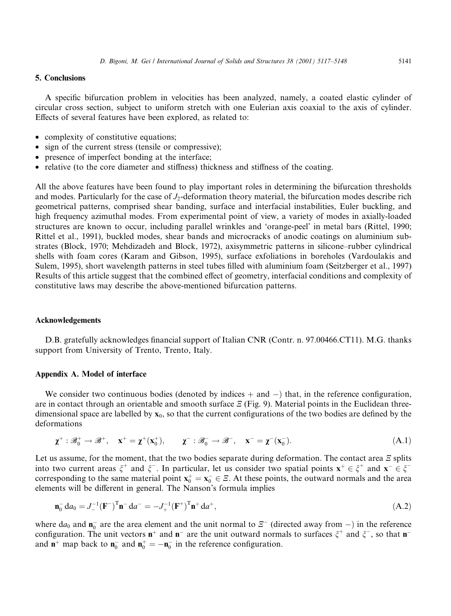# **5. Conclusions**

A specific bifurcation problem in velocities has been analyzed, namely, a coated elastic cylinder of circular cross section, subject to uniform stretch with one Eulerian axis coaxial to the axis of cylinder. Effects of several features have been explored, as related to:

- complexity of constitutive equations;
- sign of the current stress (tensile or compressive);
- presence of imperfect bonding at the interface;
- relative (to the core diameter and stiffness) thickness and stiffness of the coating.

All the above features have been found to play important roles in determining the bifurcation thresholds and modes. Particularly for the case of  $J_2$ -deformation theory material, the bifurcation modes describe rich geometrical patterns, comprised shear banding, surface and interfacial instabilities, Euler buckling, and high frequency azimuthal modes. From experimental point of view, a variety of modes in axially-loaded structures are known to occur, including parallel wrinkles and 'orange-peel' in metal bars (Rittel, 1990; Rittel et al., 1991), buckled modes, shear bands and microcracks of anodic coatings on aluminium substrates (Block, 1970; Mehdizadeh and Block, 1972), axisymmetric patterns in silicone–rubber cylindrical shells with foam cores (Karam and Gibson, 1995), surface exfoliations in boreholes (Vardoulakis and Sulem, 1995), short wavelength patterns in steel tubes filled with aluminium foam (Seitzberger et al., 1997) Results of this article suggest that the combined effect of geometry, interfacial conditions and complexity of constitutive laws may describe the above-mentioned bifurcation patterns.

#### Acknowledgements

D.B. gratefully acknowledges financial support of Italian CNR (Contr. n. 97.00466.CT11). M.G. thanks support from University of Trento, Trento, Italy.

#### Appendix A. Model of interface

We consider two continuous bodies (denoted by indices  $+$  and  $-$ ) that, in the reference configuration, are in contact through an orientable and smooth surface  $\mathcal{E}$  (Fig. 9). Material points in the Euclidean threedimensional space are labelled by  $x_0$ , so that the current configurations of the two bodies are defined by the deformations

$$
\chi^+ : \mathscr{B}_0^+ \to \mathscr{B}^+, \quad \mathbf{x}^+ = \chi^+ (\mathbf{x}_0^+), \qquad \chi^- : \mathscr{B}_0^- \to \mathscr{B}^-, \quad \mathbf{x}^- = \chi^- (\mathbf{x}_0^-). \tag{A.1}
$$

Let us assume, for the moment, that the two bodies separate during deformation. The contact area  $\mathcal E$  splits into two current areas  $\xi^+$  and  $\xi^-$ . In particular, let us consider two spatial points  $\mathbf{x}^+ \in \xi^+$  and  $\mathbf{x}^- \in \xi^$ corresponding to the same material point  $x_0^+ = x_0^- \in \mathcal{Z}$ . At these points, the outward normals and the area elements will be different in general. The Nanson's formula implies

$$
\mathbf{n}_0^- \, \mathrm{d}a_0 = J_-^{-1} (\mathbf{F}^-)^T \mathbf{n}^- \, \mathrm{d}a^- = -J_+^{-1} (\mathbf{F}^+)^T \mathbf{n}^+ \, \mathrm{d}a^+, \tag{A.2}
$$

where  $da_0$  and  $\mathbf{n}_0^-$  are the area element and the unit normal to  $\mathcal{E}^-$  (directed away from -) in the reference configuration. The unit vectors  $n^+$  and  $n^-$  are the unit outward normals to surfaces  $\xi^+$  and  $\xi^-$ , so that  $n^$ and  $\mathbf{n}^+$  map back to  $\mathbf{n}_0^-$  and  $\mathbf{n}_0^+ = -\mathbf{n}_0^-$  in the reference configuration.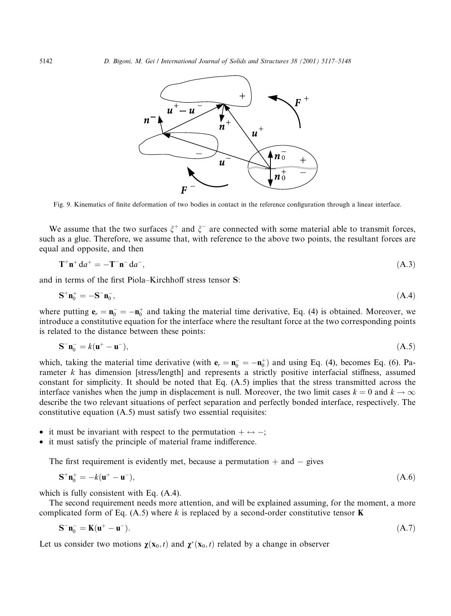

Fig. 9. Kinematics of finite deformation of two bodies in contact in the reference configuration through a linear interface.

We assume that the two surfaces  $\xi^+$  and  $\xi^-$  are connected with some material able to transmit forces, such as a glue. Therefore, we assume that, with reference to the above two points, the resultant forces are equal and opposite, and then

$$
\mathbf{T}^+\mathbf{n}^+d a^+ = -\mathbf{T}^-\mathbf{n}^-d a^-, \tag{A.3}
$$

and in terms of the first Piola–Kirchhoff stress tensor S:

$$
\mathbf{S}^+\mathbf{n}_0^+ = -\mathbf{S}^-\mathbf{n}_0^-, \tag{A.4}
$$

where putting  $\mathbf{e}_r = \mathbf{n}_0^- = -\mathbf{n}_0^+$  and taking the material time derivative, Eq. (4) is obtained. Moreover, we introduce a constitutive equation for the interface where the resultant force at the two corresponding points is related to the distance between these points:

$$
\mathbf{S}^{-} \mathbf{n}_{0}^{-} = k(\mathbf{u}^{+} - \mathbf{u}^{-}),\tag{A.5}
$$

which, taking the material time derivative (with  $\mathbf{e}_r = \mathbf{n}_0^- = -\mathbf{n}_0^+$ ) and using Eq. (4), becomes Eq. (6). Parameter k has dimension [stress/length] and represents a strictly positive interfacial stiffness, assumed constant for simplicity. It should be noted that Eq.  $(A.5)$  implies that the stress transmitted across the interface vanishes when the jump in displacement is null. Moreover, the two limit cases  $k = 0$  and  $k \to \infty$ describe the two relevant situations of perfect separation and perfectly bonded interface, respectively. The constitutive equation (A.5) must satisfy two essential requisites:

- it must be invariant with respect to the permutation  $+ \leftrightarrow -$ ;
- it must satisfy the principle of material frame indifference.

The first requirement is evidently met, because a permutation  $+$  and  $-$  gives

$$
\mathbf{S}^+ \mathbf{n}_0^+ = -k(\mathbf{u}^+ - \mathbf{u}^-),\tag{A.6}
$$

which is fully consistent with Eq.  $(A.4)$ .

The second requirement needs more attention, and will be explained assuming, for the moment, a more complicated form of Eq. (A.5) where k is replaced by a second-order constitutive tensor **K** 

$$
\mathbf{S}^{-} \mathbf{n}_{0}^{-} = \mathbf{K} (\mathbf{u}^{+} - \mathbf{u}^{-}). \tag{A.7}
$$

Let us consider two motions  $\chi(\mathbf{x}_0, t)$  and  $\chi^*(\mathbf{x}_0, t)$  related by a change in observer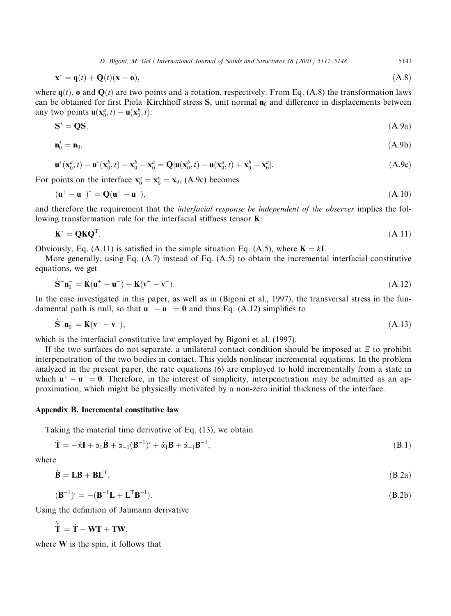5143

$$
\mathbf{x}^* = \mathbf{q}(t) + \mathbf{Q}(t)(\mathbf{x} - \mathbf{o}),\tag{A.8}
$$

where  $q(t)$ , o and  $Q(t)$  are two points and a rotation, respectively. From Eq. (A.8) the transformation laws can be obtained for first Piola–Kirchhoff stress S, unit normal  $n_0$  and difference in displacements between any two points  $\mathbf{u}(\mathbf{x}_0^a, t) - \mathbf{u}(\mathbf{x}_0^b, t)$ :

$$
\mathbf{S}^* = \mathbf{Q}\mathbf{S},\tag{A.9a}
$$

$$
\mathbf{n}_0^* = \mathbf{n}_0,\tag{A.9b}
$$

$$
\mathbf{u}^*(\mathbf{x}_0^a, t) - \mathbf{u}^*(\mathbf{x}_0^b, t) + \mathbf{x}_0^b - \mathbf{x}_0^a = \mathbf{Q}[\mathbf{u}(\mathbf{x}_0^b, t) - \mathbf{u}(\mathbf{x}_0^a, t) + \mathbf{x}_0^b - \mathbf{x}_0^a].
$$
\n(A.9c)

For points on the interface  $\mathbf{x}_0^a = \mathbf{x}_0^b = \mathbf{x}_0$ , (A.9c) becomes

$$
\mathbf{u}^+ - \mathbf{u}^-)^* = \mathbf{Q}(\mathbf{u}^+ - \mathbf{u}^-),\tag{A.10}
$$

and therefore the requirement that the *interfacial response be independent of the observer* implies the following transformation rule for the interfacial stiffness tensor **K**:

$$
\mathbf{K}^* = \mathbf{Q} \mathbf{K} \mathbf{Q}^{\mathrm{T}}.
$$
 (A.11)

Obviously, Eq. (A.11) is satisfied in the simple situation Eq. (A.5), where  $K = kI$ .

More generally, using Eq.  $(A.7)$  instead of Eq.  $(A.5)$  to obtain the incremental interfacial constitutive equations, we get

$$
\mathbf{S}^-\mathbf{n}_0^- = \mathbf{K}(\mathbf{u}^+ - \mathbf{u}^-) + \mathbf{K}(\mathbf{v}^+ - \mathbf{v}^-). \tag{A.12}
$$

In the case investigated in this paper, as well as in (Bigoni et al., 1997), the transversal stress in the fundamental path is null, so that  $\mathbf{u}^+ - \mathbf{u}^- = 0$  and thus Eq. (A.12) simplifies to

$$
\dot{\mathbf{S}}^-\mathbf{n}_0^- = \mathbf{K}(\mathbf{v}^+ - \mathbf{v}^-),\tag{A.13}
$$

which is the interfacial constitutive law employed by Bigoni et al. (1997).

If the two surfaces do not separate, a unilateral contact condition should be imposed at  $\Xi$  to prohibit interpenetration of the two bodies in contact. This yields nonlinear incremental equations. In the problem analyzed in the present paper, the rate equations (6) are employed to hold incrementally from a state in which  $u^+ - u^- = 0$ . Therefore, in the interest of simplicity, interpenetration may be admitted as an approximation, which might be physically motivated by a non-zero initial thickness of the interface.

# Appendix B. Incremental constitutive law

Taking the material time derivative of Eq. (13), we obtain

$$
\dot{\mathbf{T}} = -\dot{\pi}\mathbf{I} + \alpha_1 \dot{\mathbf{B}} + \alpha_{-1} (\mathbf{B}^{-1})^* + \dot{\alpha}_1 \mathbf{B} + \dot{\alpha}_{-1} \mathbf{B}^{-1},
$$
\n(B.1)

where

 $\overline{a}$ 

$$
\dot{\mathbf{B}} = \mathbf{L}\mathbf{B} + \mathbf{B}\mathbf{L}^{\mathrm{T}},\tag{B.2a}
$$

$$
(\mathbf{B}^{-1})^{\cdot} = -(\mathbf{B}^{-1}\mathbf{L} + \mathbf{L}^{\mathrm{T}}\mathbf{B}^{-1}).
$$
\n(B.2b)

Using the definition of Jaumann derivative

$$
\overset{\vee}{\mathbf{T}} = \dot{\mathbf{T}} - \mathbf{W}\mathbf{T} + \mathbf{T}\mathbf{W}.
$$

where  $W$  is the spin, it follows that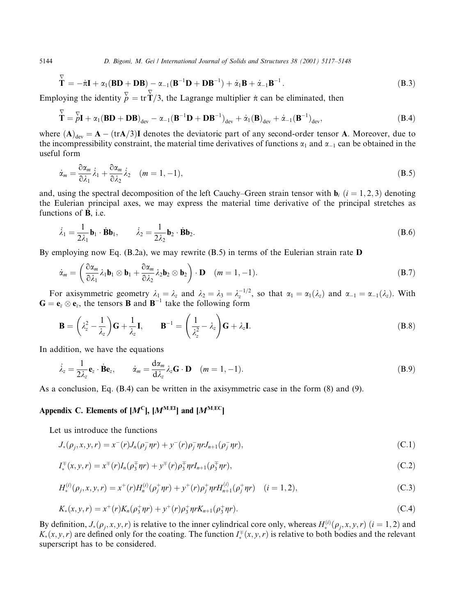$$
\overline{\mathbf{T}} = -\dot{\pi}\mathbf{I} + \alpha_1(\mathbf{B}\mathbf{D} + \mathbf{D}\mathbf{B}) - \alpha_{-1}(\mathbf{B}^{-1}\mathbf{D} + \mathbf{D}\mathbf{B}^{-1}) + \dot{\alpha}_1\mathbf{B} + \dot{\alpha}_{-1}\mathbf{B}^{-1}.
$$
\n(B.3)

Employing the identity  $\overline{p}$  = tr  $\dot{T}/3$ , the Lagrange multiplier  $\dot{\pi}$  can be eliminated, then

$$
\check{\mathbf{T}} = \check{p}\mathbf{I} + \alpha_1 (\mathbf{B} \mathbf{D} + \mathbf{D} \mathbf{B})_{\text{dev}} - \alpha_{-1} (\mathbf{B}^{-1} \mathbf{D} + \mathbf{D} \mathbf{B}^{-1})_{\text{dev}} + \dot{\alpha}_1 (\mathbf{B})_{\text{dev}} + \dot{\alpha}_{-1} (\mathbf{B}^{-1})_{\text{dev}},
$$
\n(B.4)

where  $(A)_{\text{dev}} = A - (\text{tr}A/3)I$  denotes the deviatoric part of any second-order tensor A. Moreover, due to the incompressibility constraint, the material time derivatives of functions  $\alpha_1$  and  $\alpha_{-1}$  can be obtained in the useful form

$$
\dot{\alpha}_m = \frac{\partial \alpha_m}{\partial \lambda_1} \dot{\lambda}_1 + \frac{\partial \alpha_m}{\partial \lambda_2} \dot{\lambda}_2 \quad (m = 1, -1),
$$
\n(B.5)

and, using the spectral decomposition of the left Cauchy–Green strain tensor with  $\mathbf{b}_i$  ( $i = 1, 2, 3$ ) denoting the Eulerian principal axes, we may express the material time derivative of the principal stretches as functions of  $\dot{\mathbf{B}}$ , i.e.

$$
\dot{\lambda}_1 = \frac{1}{2\lambda_1} \mathbf{b}_1 \cdot \dot{\mathbf{B}} \mathbf{b}_1, \qquad \dot{\lambda}_2 = \frac{1}{2\lambda_2} \mathbf{b}_2 \cdot \dot{\mathbf{B}} \mathbf{b}_2.
$$
 (B.6)

By employing now Eq.  $(B.2a)$ , we may rewrite  $(B.5)$  in terms of the Eulerian strain rate D

$$
\dot{\alpha}_m = \left(\frac{\partial \alpha_m}{\partial \lambda_1} \lambda_1 \mathbf{b}_1 \otimes \mathbf{b}_1 + \frac{\partial \alpha_m}{\partial \lambda_2} \lambda_2 \mathbf{b}_2 \otimes \mathbf{b}_2\right) \cdot \mathbf{D} \quad (m = 1, -1).
$$
\n(B.7)

For axisymmetric geometry  $\lambda_1 = \lambda_z$  and  $\lambda_2 = \lambda_3 = \lambda_z^{-1/2}$ , so that  $\alpha_1 = \alpha_1(\lambda_z)$  and  $\alpha_{-1} = \alpha_{-1}(\lambda_z)$ . With  $\mathbf{G} = \mathbf{e}_z \otimes \mathbf{e}_z$ , the tensors **B** and  $\mathbf{B}^{-1}$  take the following form

$$
\mathbf{B} = \left(\lambda_z^2 - \frac{1}{\lambda_z}\right)\mathbf{G} + \frac{1}{\lambda_z}\mathbf{I}, \qquad \mathbf{B}^{-1} = \left(\frac{1}{\lambda_z^2} - \lambda_z\right)\mathbf{G} + \lambda_z\mathbf{I}.
$$
\n(B.8)

In addition, we have the equations

$$
\dot{\lambda}_z = \frac{1}{2\lambda_z} \mathbf{e}_z \cdot \dot{\mathbf{B}} \mathbf{e}_z, \qquad \dot{\alpha}_m = \frac{d\alpha_m}{d\lambda_z} \lambda_z \mathbf{G} \cdot \mathbf{D} \quad (m = 1, -1).
$$
\n(B.9)

As a conclusion, Eq.  $(B.4)$  can be written in the axisymmetric case in the form  $(8)$  and  $(9)$ .

# Appendix C. Elements of  $[M^C]$ ,  $[M^{M, EI}]$  and  $[M^{M, EC}]$

Let us introduce the functions

$$
J_*(\rho_j, x, y, r) = x^-(r)J_n(\rho_j^- \eta r) + y^-(r)\rho_j^- \eta r J_{n+1}(\rho_j^- \eta r), \tag{C.1}
$$

$$
I_*^{\mp}(x, y, r) = x^{\mp}(r)I_n(\rho_3^{\mp}\eta r) + y^{\mp}(r)\rho_3^{\mp}\eta rI_{n+1}(\rho_3^{\mp}\eta r), \qquad (C.2)
$$

$$
H_*^{(i)}(\rho_j, x, y, r) = x^+(r)H_n^{(i)}(\rho_j^+ \eta r) + y^+(r)\rho_j^+ \eta r H_{n+1}^{(i)}(\rho_j^+ \eta r) \quad (i = 1, 2),
$$
\n(C.3)

$$
K_*(x, y, r) = x^+(r)K_n(\rho_3^+\eta r) + y^+(r)\rho_3^+\eta rK_{n+1}(\rho_3^+\eta r). \tag{C.4}
$$

By definition,  $J_*(\rho_i, x, y, r)$  is relative to the inner cylindrical core only, whereas  $H_*^{(i)}(\rho_i, x, y, r)$  ( $i = 1, 2$ ) and  $K_*(x, y, r)$  are defined only for the coating. The function  $I^+(x, y, r)$  is relative to both bodies and the relevant superscript has to be considered.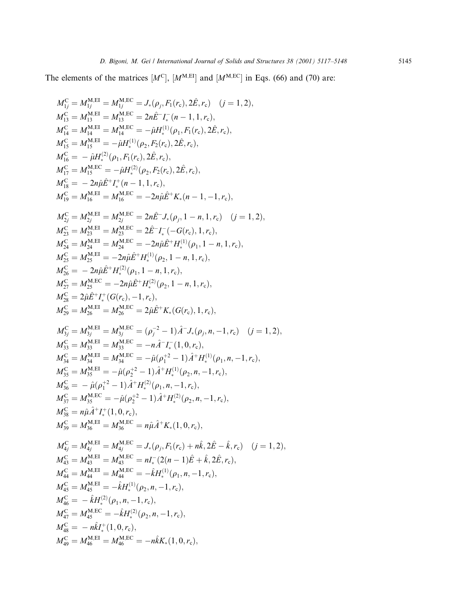The elements of the matrices  $[M^C]$ ,  $[M^{M, EI}]$  and  $[M^{M, EC}]$  in Eqs. (66) and (70) are:

$$
M_V^C = M_{1J}^{M,E1} = M_{1J}^{M,EC} = J_*(\rho_j, F_1(r_c), 2\hat{E}, r_c) \quad (j = 1, 2),
$$
  
\n
$$
M_{1S}^C = M_{1A}^{M,E1} = M_{1B}^{M,EC} = 2n\hat{E}^{-1}\Gamma_e(n-1, 1, r_c),
$$
  
\n
$$
M_{1S}^C = M_{1A}^{M,E1} = M_{1B}^{M,EC} = -\hat{\mu}H_+^{(1)}(\rho_1, F_1(r_c), 2\hat{E}, r_c),
$$
  
\n
$$
M_{1S}^C = M_{1A}^{M,E1} = -\hat{\mu}H_+^{(1)}(\rho_2, F_2(r_c), 2\hat{E}, r_c),
$$
  
\n
$$
M_{1S}^C = -\hat{\mu}H_+^{(2)}(\rho_1, F_1(r_c), 2\hat{E}, r_c),
$$
  
\n
$$
M_{1S}^C = -\hat{\mu}H_+^{(2)}(\rho_1, F_1(r_c), 2\hat{E}, r_c),
$$
  
\n
$$
M_{1S}^C = M_{1B}^{M,E1} = M_{1B}^{M,EC} = -2n\hat{\mu}\hat{E}^{+}K_+(n-1, -1, r_c),
$$
  
\n
$$
M_{2S}^C = M_{2A}^{M,E1} = M_{2B}^{M,EC} = 2n\hat{E}^{-1}J_*(\rho_1, 1 - n, 1, r_c),
$$
  
\n
$$
M_{2S}^C = M_{2A}^{M,E1} = M_{2A}^{M,EC} = 2\hat{\mu}\hat{E}^{-1}I_*(\mathcal{O}(p_1, 1 - n, 1, r_c),
$$
  
\n
$$
M_{2S}^C = M_{2A}^{M,E1} = -2n\hat{\mu}\hat{E}^{+}H_+^{(1)}(\rho_2, 1 - n, 1, r_c),
$$
  
\n
$$
M_{2S}^C = M_{2A}^{M,E1} = -2n\hat{\mu}\hat{E}^{+}H_+^{(1)}(\rho_1, 1 - n, 1, r_c),
$$
  
\n
$$
M_{2S}^C = M_{2A
$$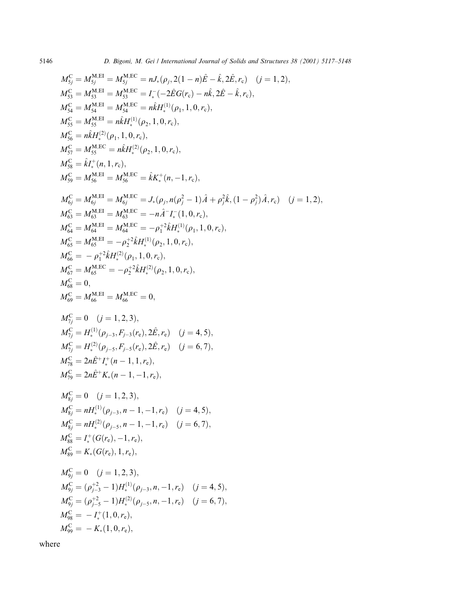$$
M_{Sj}^C = M_{Sj}^{\text{M,EL}} = M_{Sj}^{\text{M,EC}} = nJ_*(\rho_j, 2(1 - n)\hat{E} - \hat{k}, 2\hat{E}, r_c) (j = 1, 2),
$$
  
\n
$$
M_{Sj}^C = M_{Sj}^{\text{M,EL}} = M_{Sj}^{\text{M,EC}} = \Gamma_*(-2\hat{E}G(r_c) - n\hat{k}, 2\hat{E} - \hat{k}, r_c),
$$
  
\n
$$
M_{Sk}^C = M_{Sj}^{\text{M,EL}} = M_{Sk}^{\text{M,EL}} = n\hat{k}H_*^{(1)}(\rho_1, 1, 0, r_c),
$$
  
\n
$$
M_{Sj}^C = M_{Sj}^{\text{M,EL}} = n\hat{k}H_*^{(2)}(\rho_1, 1, 0, r_c),
$$
  
\n
$$
M_{Sj}^C = n\hat{k}H_*^{(2)}(\rho_1, 1, 0, r_c),
$$
  
\n
$$
M_{Sj}^C = M_{Sj}^{\text{M,EL}} = n\hat{k}H_*^{(1)}(\rho_2, 1, 0, r_c),
$$
  
\n
$$
M_{Sj}^C = M_{Sj}^{\text{M,EL}} = M_{Sj}^{\text{M,EL}} = \hat{k}k_*^+(n, -1, r_c),
$$
  
\n
$$
M_{Sj}^C = M_{Sj}^{\text{M,EL}} = M_{Sj}^{\text{M,EL}} = J_*(\rho_j, n(\rho_j^2 - 1)\hat{A} + \rho_j^2\hat{k}, (1 - \rho_j^2)\hat{A}, r_c) (j = 1, 2),
$$
  
\n
$$
M_{Sj}^C = M_{Sj}^{\text{M,EL}} = M_{Sj}^{\text{M,EL}} = -n\hat{i}^2\hat{k}H_*^{(1)}(\rho_1, 1, 0, r_c),
$$
  
\n
$$
M_{Sj}^C = M_{Sj}^{\text{M,EL}} = M_{Sj}^{\text{M,EL}} = -\rho_j^2\hat{k}H_*^{(1)}(\rho_2, 1, 0, r_c),
$$
  
\n
$$
M_{Sj}^C = M_{Sj}^{\text{M,EL}} = M
$$

where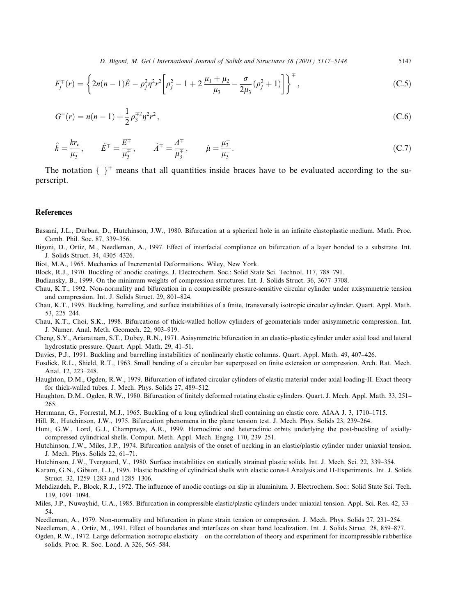$$
F_j^{\pm}(r) = \left\{ 2n(n-1)\hat{E} - \rho_j^2 \eta^2 r^2 \left[ \rho_j^2 - 1 + 2 \frac{\mu_1 + \mu_2}{\mu_3} - \frac{\sigma}{2\mu_3} (\rho_j^2 + 1) \right] \right\}^{\pm},\tag{C.5}
$$

$$
G^{\pm}(r) = n(n-1) + \frac{1}{2}\rho_3^{\mp 2}\eta^2 r^2,
$$
\n(C.6)

$$
\hat{k} = \frac{k r_c}{\mu_3}, \qquad \hat{E}^{\pm} = \frac{E^{\mp}}{\mu_3^{\mp}}, \qquad \hat{A}^{\pm} = \frac{A^{\mp}}{\mu_3^{\mp}}, \qquad \hat{\mu} = \frac{\mu_3^{\pm}}{\mu_3^{\pm}}.
$$
\n(C.7)

The notation  $\{ \}^{\dagger}$  means that all quantities inside braces have to be evaluated according to the superscript.

#### **References**

- Bassani, J.L., Durban, D., Hutchinson, J.W., 1980. Bifurcation at a spherical hole in an infinite elastoplastic medium. Math. Proc. Camb. Phil. Soc. 87, 339-356.
- Bigoni, D., Ortiz, M., Needleman, A., 1997. Effect of interfacial compliance on bifurcation of a layer bonded to a substrate. Int. J. Solids Struct. 34, 4305-4326.
- Biot, M.A., 1965. Mechanics of Incremental Deformations. Wiley, New York.
- Block, R.J., 1970. Buckling of anodic coatings. J. Electrochem. Soc.: Solid State Sci. Technol. 117, 788-791.
- Budiansky, B., 1999. On the minimum weights of compression structures. Int. J. Solids Struct. 36, 3677–3708.
- Chau, K.T., 1992. Non-normality and bifurcation in a compressible pressure-sensitive circular cylinder under axisymmetric tension and compression. Int. J. Solids Struct. 29, 801-824.
- Chau, K.T., 1995. Buckling, barrelling, and surface instabilities of a finite, transversely isotropic circular cylinder. Quart. Appl. Math. 53, 225-244.
- Chau, K.T., Choi, S.K., 1998. Bifurcations of thick-walled hollow cylinders of geomaterials under axisymmetric compression. Int. J. Numer. Anal. Meth. Geomech. 22, 903-919.
- Cheng, S.Y., Ariaratnam, S.T., Dubey, R.N., 1971. Axisymmetric bifurcation in an elastic-plastic cylinder under axial load and lateral hydrostatic pressure. Quart. Appl. Math. 29, 41-51.
- Davies, P.J., 1991. Buckling and barrelling instabilities of nonlinearly elastic columns. Quart. Appl. Math. 49, 407–426.
- Fosdick, R.L., Shield, R.T., 1963. Small bending of a circular bar superposed on finite extension or compression. Arch. Rat. Mech. Anal. 12, 223-248.
- Haughton, D.M., Ogden, R.W., 1979. Bifurcation of inflated circular cylinders of elastic material under axial loading-II. Exact theory for thick-walled tubes. J. Mech. Phys. Solids 27, 489-512.
- Haughton, D.M., Ogden, R.W., 1980. Bifurcation of finitely deformed rotating elastic cylinders. Quart. J. Mech. Appl. Math. 33, 251-265.
- Herrmann, G., Forrestal, M.J., 1965. Buckling of a long cylindrical shell containing an elastic core. AIAA J. 3, 1710–1715.
- Hill, R., Hutchinson, J.W., 1975. Bifurcation phenomena in the plane tension test. J. Mech. Phys. Solids 23, 239–264.
- Hunt, G.W., Lord, G.J., Champneys, A.R., 1999. Homoclinic and heteroclinic orbits underlying the post-buckling of axiallycompressed cylindrical shells. Comput. Meth. Appl. Mech. Engng. 170, 239-251.
- Hutchinson, J.W., Miles, J.P., 1974. Bifurcation analysis of the onset of necking in an elastic/plastic cylinder under uniaxial tension. J. Mech. Phys. Solids 22, 61-71.
- Hutchinson, J.W., Tvergaard, V., 1980. Surface instabilities on statically strained plastic solids. Int. J. Mech. Sci. 22, 339–354.
- Karam, G.N., Gibson, L.J., 1995. Elastic buckling of cylindrical shells with elastic cores-I Analysis and II-Experiments. Int. J. Solids Struct. 32, 1259-1283 and 1285-1306.
- Mehdizadeh, P., Block, R.J., 1972. The influence of anodic coatings on slip in aluminium. J. Electrochem. Soc.: Solid State Sci. Tech. 119, 1091-1094.
- Miles, J.P., Nuwayhid, U.A., 1985. Bifurcation in compressible elastic/plastic cylinders under uniaxial tension. Appl. Sci. Res. 42, 33-54.
- Needleman, A., 1979. Non-normality and bifurcation in plane strain tension or compression. J. Mech. Phys. Solids 27, 231–254.

Needleman, A., Ortiz, M., 1991. Effect of boundaries and interfaces on shear band localization. Int. J. Solids Struct. 28, 859-877.

Ogden, R.W., 1972. Large deformation isotropic elasticity – on the correlation of theory and experiment for incompressible rubberlike solids. Proc. R. Soc. Lond. A 326, 565-584.